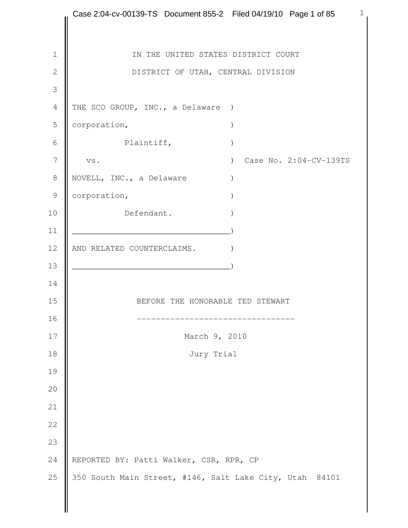```
 1
1 || IN THE UNITED STATES DISTRICT COURT
2 | DISTRICT OF UTAH, CENTRAL DIVISION
 3 
4 THE SCO GROUP, INC., a Delaware )
5 corporation, \sqrt{2}6 Plaintiff, \qquad \qquad )
 7 vs. ) Case No. 2:04-CV-139TS 
8 NOVELL, INC., a Delaware )
9 corporation, (9)10 Defendant.
11 \Box12 || AND RELATED COUNTERCLAIMS.
13 \Box14 
15 BEFORE THE HONORABLE TED STEWART
16 --------------------------------- 
17 March 9, 2010
18 Jury Trial 
19 
20 
21 
22 
23 
24 REPORTED BY: Patti Walker, CSR, RPR, CP
25 \parallel 350 South Main Street, #146, Salt Lake City, Utah 84101
   Case 2:04-cv-00139-TS Document 855-2 Filed 04/19/10 Page 1 of 85
```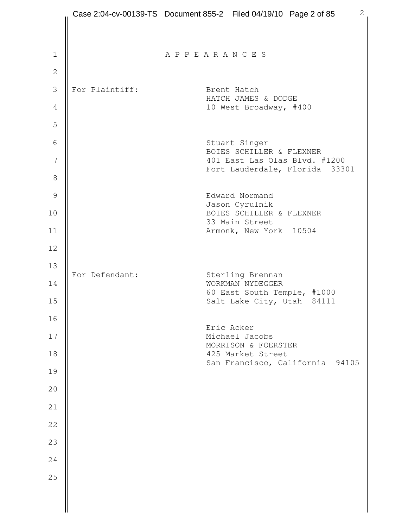|                | Case 2:04-cv-00139-TS Document 855-2 Filed 04/19/10 Page 2 of 85 |                                                           |  |                                                 |                                 | $\mathbf{2}$ |
|----------------|------------------------------------------------------------------|-----------------------------------------------------------|--|-------------------------------------------------|---------------------------------|--------------|
|                |                                                                  |                                                           |  |                                                 |                                 |              |
| $\mathbf 1$    |                                                                  | APPEARANCES                                               |  |                                                 |                                 |              |
| $\overline{2}$ |                                                                  |                                                           |  |                                                 |                                 |              |
| 3              | For Plaintiff:                                                   |                                                           |  | Brent Hatch                                     |                                 |              |
| $\sqrt{4}$     |                                                                  |                                                           |  | HATCH JAMES & DODGE<br>10 West Broadway, #400   |                                 |              |
| 5              |                                                                  |                                                           |  |                                                 |                                 |              |
| 6              |                                                                  |                                                           |  | Stuart Singer                                   |                                 |              |
| $\overline{7}$ |                                                                  | BOIES SCHILLER & FLEXNER<br>401 East Las Olas Blvd. #1200 |  |                                                 | Fort Lauderdale, Florida 33301  |              |
| 8              |                                                                  |                                                           |  |                                                 |                                 |              |
| $\mathcal{G}$  |                                                                  |                                                           |  | Edward Normand<br>Jason Cyrulnik                |                                 |              |
| 10             |                                                                  |                                                           |  | BOIES SCHILLER & FLEXNER<br>33 Main Street      |                                 |              |
| 11             |                                                                  |                                                           |  | Armonk, New York 10504                          |                                 |              |
| 12             |                                                                  |                                                           |  |                                                 |                                 |              |
| 13             | For Defendant:                                                   | Sterling Brennan                                          |  |                                                 |                                 |              |
| 14             |                                                                  |                                                           |  | WORKMAN NYDEGGER<br>60 East South Temple, #1000 |                                 |              |
| 15             |                                                                  |                                                           |  | Salt Lake City, Utah 84111                      |                                 |              |
| 16             |                                                                  |                                                           |  | Eric Acker                                      |                                 |              |
| 17             |                                                                  |                                                           |  | Michael Jacobs<br>MORRISON & FOERSTER           |                                 |              |
| 18<br>19       |                                                                  |                                                           |  | 425 Market Street                               | San Francisco, California 94105 |              |
| 20             |                                                                  |                                                           |  |                                                 |                                 |              |
| 21             |                                                                  |                                                           |  |                                                 |                                 |              |
| 22             |                                                                  |                                                           |  |                                                 |                                 |              |
| 23             |                                                                  |                                                           |  |                                                 |                                 |              |
| 24             |                                                                  |                                                           |  |                                                 |                                 |              |
| 25             |                                                                  |                                                           |  |                                                 |                                 |              |
|                |                                                                  |                                                           |  |                                                 |                                 |              |
|                |                                                                  |                                                           |  |                                                 |                                 |              |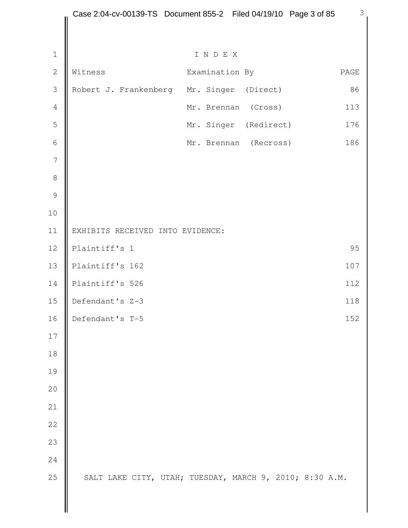|                | Case 2:04-cv-00139-TS Document 855-2 Filed 04/19/10 Page 3 of 85 |                |                       | $\mathcal{S}$ |
|----------------|------------------------------------------------------------------|----------------|-----------------------|---------------|
|                |                                                                  |                |                       |               |
| $\mathbf 1$    |                                                                  | INDEX          |                       |               |
| $\overline{2}$ | Witness                                                          | Examination By |                       | PAGE          |
| 3              | Robert J. Frankenberg Mr. Singer                                 |                | (Direct)              | 86            |
| $\sqrt{4}$     |                                                                  | Mr. Brennan    | (Cross)               | 113           |
| 5              |                                                                  |                | Mr. Singer (Redirect) | 176           |
| $\sqrt{6}$     |                                                                  |                | Mr. Brennan (Recross) | 186           |
| $\overline{7}$ |                                                                  |                |                       |               |
| $\,8\,$        |                                                                  |                |                       |               |
| $\mathcal{G}$  |                                                                  |                |                       |               |
| 10             |                                                                  |                |                       |               |
| 11             | EXHIBITS RECEIVED INTO EVIDENCE:                                 |                |                       |               |
| 12             | Plaintiff's 1                                                    |                |                       | 95            |
| 13             | Plaintiff's 162                                                  |                |                       | 107           |
| 14             | Plaintiff's 526                                                  |                |                       | 112           |
| 15             | Defendant's Z-3                                                  |                |                       | 118           |
| 16             | Defendant's T-5                                                  |                |                       | 152           |
| 17             |                                                                  |                |                       |               |
| 18             |                                                                  |                |                       |               |
| 19             |                                                                  |                |                       |               |
| 20             |                                                                  |                |                       |               |
| 21             |                                                                  |                |                       |               |
| 22             |                                                                  |                |                       |               |
| 23             |                                                                  |                |                       |               |
| 24             |                                                                  |                |                       |               |
| 25             | SALT LAKE CITY, UTAH; TUESDAY, MARCH 9, 2010; 8:30 A.M.          |                |                       |               |
|                |                                                                  |                |                       |               |
|                |                                                                  |                |                       |               |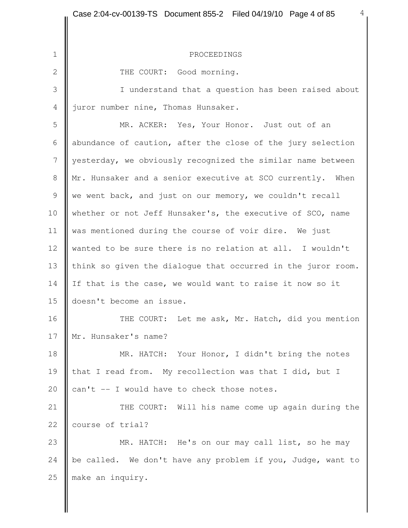1 PROCEEDINGS 2 | THE COURT: Good morning. 3 I understand that a question has been raised about 4 *liuror number nine*, Thomas Hunsaker. 5 || MR. ACKER: Yes, Your Honor. Just out of an 6 abundance of caution, after the close of the jury selection 7 yesterday, we obviously recognized the similar name between 8 | Mr. Hunsaker and a senior executive at SCO currently. When 9 we went back, and just on our memory, we couldn't recall 10 whether or not Jeff Hunsaker's, the executive of SCO, name 11 was mentioned during the course of voir dire. We just 12 wanted to be sure there is no relation at all. I wouldn't 13 think so given the dialogue that occurred in the juror room. 14 If that is the case, we would want to raise it now so it 15 doesn't become an issue. 16 | THE COURT: Let me ask, Mr. Hatch, did you mention 17 || Mr. Hunsaker's name? 18 | MR. HATCH: Your Honor, I didn't bring the notes 19 that I read from. My recollection was that I did, but I 20  $\vert$  can't -- I would have to check those notes. 21 | THE COURT: Will his name come up again during the 22 | course of trial? 23 **MR.** HATCH: He's on our may call list, so he may 24  $\parallel$  be called. We don't have any problem if you, Judge, want to 25 make an inquiry.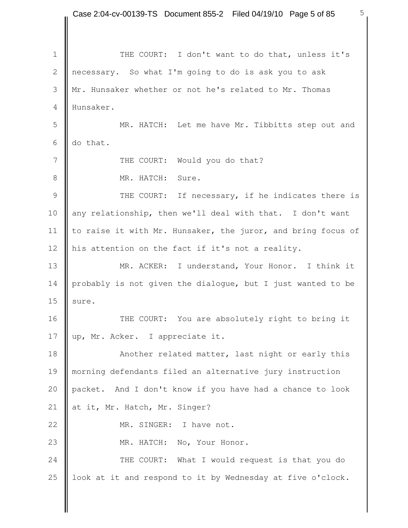1 || THE COURT: I don't want to do that, unless it's 2 necessary. So what I'm going to do is ask you to ask 3 Mr. Hunsaker whether or not he's related to Mr. Thomas 4 Hunsaker. 5 MR. HATCH: Let me have Mr. Tibbitts step out and 6  $\parallel$  do that. 7 | THE COURT: Would you do that? 8 MR. HATCH: Sure. 9 THE COURT: If necessary, if he indicates there is 10 any relationship, then we'll deal with that. I don't want 11  $\parallel$  to raise it with Mr. Hunsaker, the juror, and bring focus of 12 his attention on the fact if it's not a reality. 13 MR. ACKER: I understand, Your Honor. I think it 14 probably is not given the dialogue, but I just wanted to be 15  $\parallel$  sure. 16 | THE COURT: You are absolutely right to bring it 17 || up, Mr. Acker. I appreciate it. 18 **Another related matter, last night or early this** 19 morning defendants filed an alternative jury instruction 20 packet. And I don't know if you have had a chance to look 21 at it, Mr. Hatch, Mr. Singer? 22 MR. SINGER: I have not. 23 || MR. HATCH: No, Your Honor. 24 **THE COURT:** What I would request is that you do 25  $\parallel$  look at it and respond to it by Wednesday at five o'clock.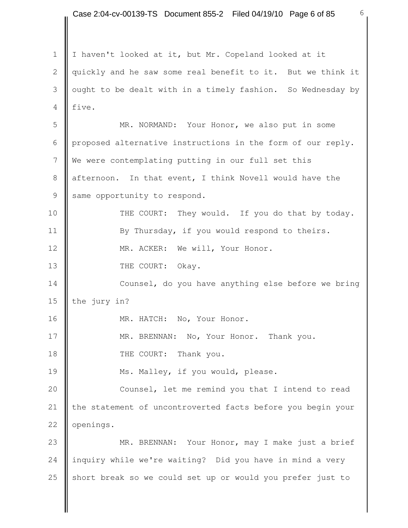1 | I haven't looked at it, but Mr. Copeland looked at it 2 | quickly and he saw some real benefit to it. But we think it 3 lought to be dealt with in a timely fashion. So Wednesday by  $4$  | five. 5 MR. NORMAND: Your Honor, we also put in some 6 proposed alternative instructions in the form of our reply. 7 We were contemplating putting in our full set this 8 afternoon. In that event, I think Novell would have the  $9$  same opportunity to respond. 10 **THE COURT:** They would. If you do that by today. 11 | By Thursday, if you would respond to theirs. 12 | MR. ACKER: We will, Your Honor. 13 **I** THE COURT: Okay. 14 **Counsel,** do you have anything else before we bring 15 the jury in? 16 | MR. HATCH: No, Your Honor. 17 MR. BRENNAN: No, Your Honor. Thank you. 18 || THE COURT: Thank you. 19 Ms. Malley, if you would, please. 20 **Counsel, let me remind you that I intend to read** 21 | the statement of uncontroverted facts before you begin your 22 **openings.** 23 MR. BRENNAN: Your Honor, may I make just a brief 24 inquiry while we're waiting? Did you have in mind a very 25 short break so we could set up or would you prefer just to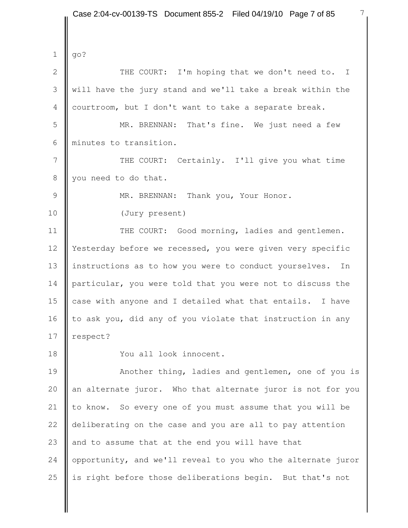$1 \parallel qo?$ 2 | THE COURT: I'm hoping that we don't need to. I 3 will have the jury stand and we'll take a break within the 4 courtroom, but I don't want to take a separate break. 5 MR. BRENNAN: That's fine. We just need a few 6 || minutes to transition. 7 | THE COURT: Certainly. I'll give you what time 8 vou need to do that. 9 || MR. BRENNAN: Thank you, Your Honor. 10 (Jury present) 11 | THE COURT: Good morning, ladies and gentlemen. 12 Yesterday before we recessed, you were given very specific 13 instructions as to how you were to conduct yourselves. In 14 particular, you were told that you were not to discuss the 15 case with anyone and I detailed what that entails. I have 16  $\parallel$  to ask you, did any of you violate that instruction in any 17 **respect?** 18 You all look innocent. 19 **Another thing, ladies and gentlemen, one of you is** 20  $\parallel$  an alternate juror. Who that alternate juror is not for you 21 to know. So every one of you must assume that you will be 22 deliberating on the case and you are all to pay attention 23  $\parallel$  and to assume that at the end you will have that 24 opportunity, and we'll reveal to you who the alternate juror 25  $\parallel$  is right before those deliberations begin. But that's not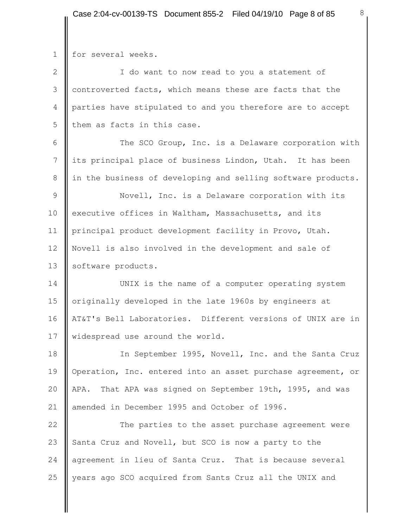$\mathbf{I}$ 

| $\mathbf 1$    | for several weeks.                                           |
|----------------|--------------------------------------------------------------|
| $\mathbf{2}$   | I do want to now read to you a statement of                  |
| $\mathcal{S}$  | controverted facts, which means these are facts that the     |
| $\overline{4}$ | parties have stipulated to and you therefore are to accept   |
| 5              | them as facts in this case.                                  |
| 6              | The SCO Group, Inc. is a Delaware corporation with           |
| $\overline{7}$ | its principal place of business Lindon, Utah. It has been    |
| 8              | in the business of developing and selling software products. |
| $\mathsf 9$    | Novell, Inc. is a Delaware corporation with its              |
| 10             | executive offices in Waltham, Massachusetts, and its         |
| 11             | principal product development facility in Provo, Utah.       |
| 12             | Novell is also involved in the development and sale of       |
| 13             | software products.                                           |
| 14             | UNIX is the name of a computer operating system              |
| 15             | originally developed in the late 1960s by engineers at       |
| 16             | AT&T's Bell Laboratories. Different versions of UNIX are in  |
| 17             | widespread use around the world.                             |
| 18             | In September 1995, Novell, Inc. and the Santa Cruz           |
| 19             | Operation, Inc. entered into an asset purchase agreement, or |
| 20             | That APA was signed on September 19th, 1995, and was<br>APA. |
| 21             | amended in December 1995 and October of 1996.                |
| 22             | The parties to the asset purchase agreement were             |
| 23             | Santa Cruz and Novell, but SCO is now a party to the         |
| 24             | agreement in lieu of Santa Cruz. That is because several     |
| 25             | years ago SCO acquired from Sants Cruz all the UNIX and      |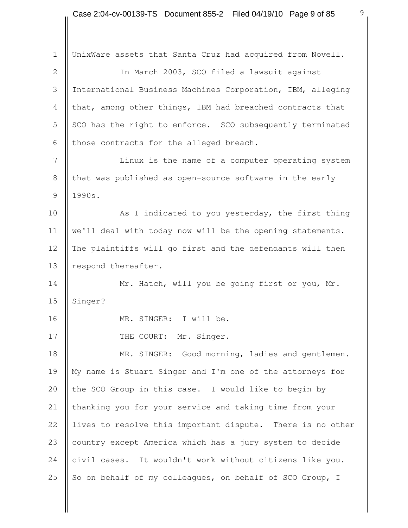1 | UnixWare assets that Santa Cruz had acquired from Novell. 2 | The March 2003, SCO filed a lawsuit against 3 International Business Machines Corporation, IBM, alleging 4 | that, among other things, IBM had breached contracts that 5 SCO has the right to enforce. SCO subsequently terminated 6 those contracts for the alleged breach. 7 | Linux is the name of a computer operating system 8 Ithat was published as open-source software in the early  $9 \parallel 1990s.$ 10 **As I** indicated to you yesterday, the first thing 11 | we'll deal with today now will be the opening statements. 12 || The plaintiffs will go first and the defendants will then 13 **P**respond thereafter. 14 | Mr. Hatch, will you be going first or you, Mr. 15  $\parallel$  Singer? 16 || MR. SINGER: I will be. 17 | THE COURT: Mr. Singer. 18 | MR. SINGER: Good morning, ladies and gentlemen. 19 My name is Stuart Singer and I'm one of the attorneys for 20  $\parallel$  the SCO Group in this case. I would like to begin by 21 | thanking you for your service and taking time from your 22 lives to resolve this important dispute. There is no other 23 country except America which has a jury system to decide 24 civil cases. It wouldn't work without citizens like you. 25 So on behalf of my colleagues, on behalf of SCO Group, I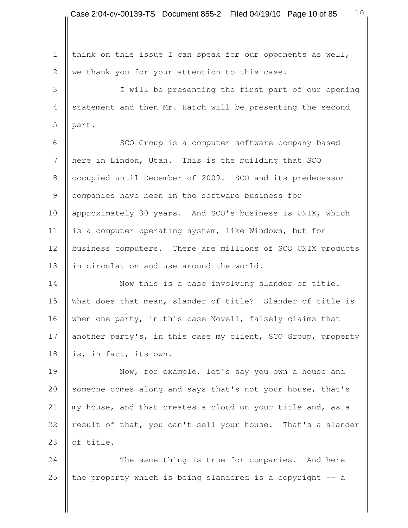1 | think on this issue I can speak for our opponents as well, 2  $\parallel$  we thank you for your attention to this case.

 3 I will be presenting the first part of our opening 4 statement and then Mr. Hatch will be presenting the second  $5$  | part.

6 | SCO Group is a computer software company based 7 here in Lindon, Utah. This is the building that SCO 8 | occupied until December of 2009. SCO and its predecessor 9 Companies have been in the software business for 10 approximately 30 years. And SCO's business is UNIX, which 11  $\parallel$  is a computer operating system, like Windows, but for 12 business computers. There are millions of SCO UNIX products 13 In circulation and use around the world.

14 Now this is a case involving slander of title. 15 What does that mean, slander of title? Slander of title is 16 when one party, in this case Novell, falsely claims that 17 another party's, in this case my client, SCO Group, property 18 is, in fact, its own.

19 **Now, for example, let's say you own a house and** 20 someone comes along and says that's not your house, that's 21  $\parallel$  my house, and that creates a cloud on your title and, as a 22 result of that, you can't sell your house. That's a slander 23  $\parallel$  of title.

24 The same thing is true for companies. And here 25  $\parallel$  the property which is being slandered is a copyright -- a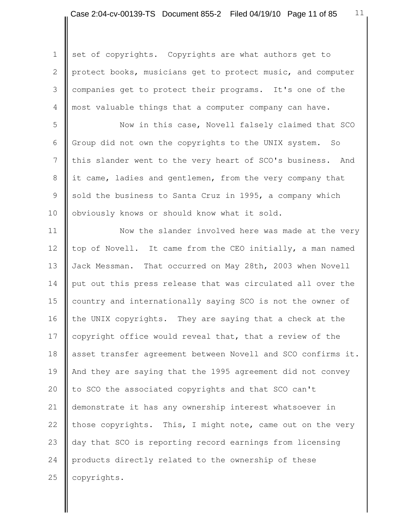1 set of copyrights. Copyrights are what authors get to 2 protect books, musicians get to protect music, and computer 3 companies get to protect their programs. It's one of the 4 most valuable things that a computer company can have.

 5 Now in this case, Novell falsely claimed that SCO 6 Group did not own the copyrights to the UNIX system. So 7 Ithis slander went to the very heart of SCO's business. And 8 it came, ladies and gentlemen, from the very company that 9 || sold the business to Santa Cruz in 1995, a company which 10 | obviously knows or should know what it sold.

11 | Now the slander involved here was made at the very 12 top of Novell. It came from the CEO initially, a man named 13 Jack Messman. That occurred on May 28th, 2003 when Novell 14 || put out this press release that was circulated all over the 15 country and internationally saying SCO is not the owner of 16  $\parallel$  the UNIX copyrights. They are saying that a check at the 17 copyright office would reveal that, that a review of the 18 asset transfer agreement between Novell and SCO confirms it. 19 || And they are saying that the 1995 agreement did not convey 20 to SCO the associated copyrights and that SCO can't 21 demonstrate it has any ownership interest whatsoever in 22 those copyrights. This, I might note, came out on the very 23 day that SCO is reporting record earnings from licensing 24 products directly related to the ownership of these 25 **copyrights.**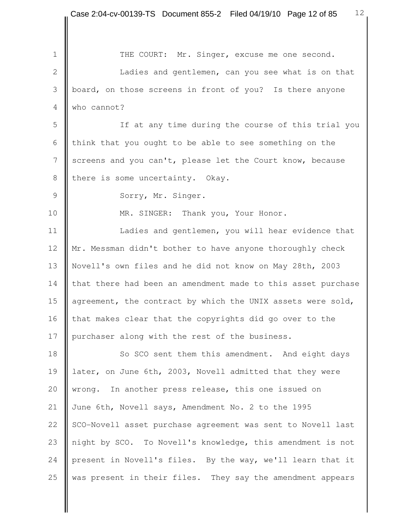1 | THE COURT: Mr. Singer, excuse me one second. 2 | Canadies and gentlemen, can you see what is on that 3 board, on those screens in front of you? Is there anyone 4 Who cannot? 5 If at any time during the course of this trial you 6 | think that you ought to be able to see something on the 7 Screens and you can't, please let the Court know, because 8 | there is some uncertainty. Okay. 9 Sorry, Mr. Singer. 10 **MR. SINGER:** Thank you, Your Honor. 11 | Ladies and gentlemen, you will hear evidence that 12 Mr. Messman didn't bother to have anyone thoroughly check 13 Novell's own files and he did not know on May 28th, 2003 14 that there had been an amendment made to this asset purchase 15 agreement, the contract by which the UNIX assets were sold, 16 that makes clear that the copyrights did go over to the 17 | purchaser along with the rest of the business. 18 So SCO sent them this amendment. And eight days 19 later, on June 6th, 2003, Novell admitted that they were 20 wrong. In another press release, this one issued on 21 June 6th, Novell says, Amendment No. 2 to the 1995 22 SCO-Novell asset purchase agreement was sent to Novell last 23 night by SCO. To Novell's knowledge, this amendment is not 24 present in Novell's files. By the way, we'll learn that it 25  $\parallel$  was present in their files. They say the amendment appears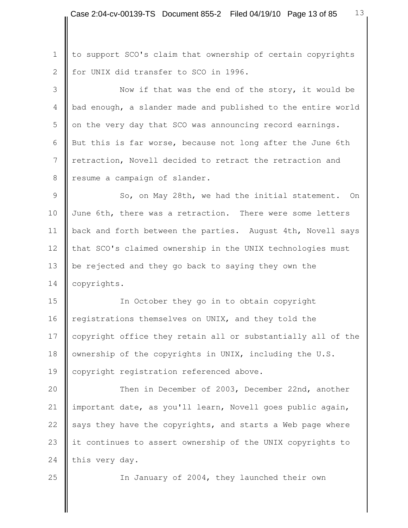1 | to support SCO's claim that ownership of certain copyrights 2 | for UNIX did transfer to SCO in 1996.

3 Now if that was the end of the story, it would be 4 bad enough, a slander made and published to the entire world  $5$  on the very day that SCO was announcing record earnings. 6 But this is far worse, because not long after the June 6th 7 **I** retraction, Novell decided to retract the retraction and 8 | resume a campaign of slander.

9 | So, on May 28th, we had the initial statement. On 10 June 6th, there was a retraction. There were some letters 11 | back and forth between the parties. August 4th, Novell says 12 that SCO's claimed ownership in the UNIX technologies must 13 be rejected and they go back to saying they own the 14 | copyrights.

15 | In October they go in to obtain copyright 16 registrations themselves on UNIX, and they told the 17 copyright office they retain all or substantially all of the 18 | ownership of the copyrights in UNIX, including the U.S. 19 | copyright registration referenced above.

20 **Then in December of 2003, December 22nd, another** 21 | important date, as you'll learn, Novell goes public again, 22  $\parallel$  says they have the copyrights, and starts a Web page where 23 it continues to assert ownership of the UNIX copyrights to 24 this very day.

25 | In January of 2004, they launched their own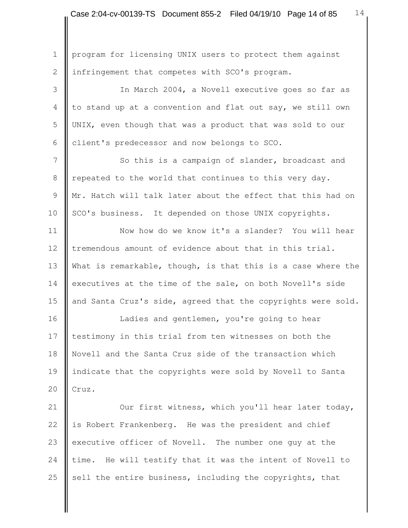1 | program for licensing UNIX users to protect them against 2 | infringement that competes with SCO's program. 3 In March 2004, a Novell executive goes so far as  $4 \parallel$  to stand up at a convention and flat out say, we still own 5 UNIX, even though that was a product that was sold to our 6 **c**lient's predecessor and now belongs to SCO. 7 So this is a campaign of slander, broadcast and 8 | repeated to the world that continues to this very day. 9 **M**r. Hatch will talk later about the effect that this had on 10 | SCO's business. It depended on those UNIX copyrights. 11 Now how do we know it's a slander? You will hear 12 tremendous amount of evidence about that in this trial. 13 What is remarkable, though, is that this is a case where the 14 executives at the time of the sale, on both Novell's side 15 and Santa Cruz's side, agreed that the copyrights were sold. 16 | Ladies and gentlemen, you're going to hear 17 testimony in this trial from ten witnesses on both the 18 Novell and the Santa Cruz side of the transaction which 19 indicate that the copyrights were sold by Novell to Santa 20  $\vert \vert$  Cruz. 21 | Our first witness, which you'll hear later today, 22 is Robert Frankenberg. He was the president and chief 23 executive officer of Novell. The number one guy at the 24 time. He will testify that it was the intent of Novell to 25  $\parallel$  sell the entire business, including the copyrights, that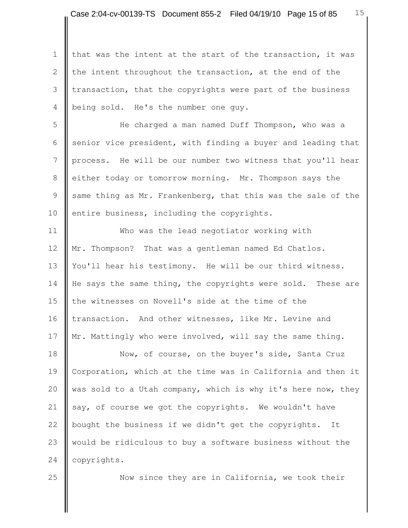1 | that was the intent at the start of the transaction, it was 2 the intent throughout the transaction, at the end of the 3 I transaction, that the copyrights were part of the business 4 being sold. He's the number one guy.

 5 He charged a man named Duff Thompson, who was a 6 senior vice president, with finding a buyer and leading that 7 process. He will be our number two witness that you'll hear 8 either today or tomorrow morning. Mr. Thompson says the 9 same thing as Mr. Frankenberg, that this was the sale of the 10 entire business, including the copyrights.

11 | Who was the lead negotiator working with 12 || Mr. Thompson? That was a gentleman named Ed Chatlos. 13 You'll hear his testimony. He will be our third witness. 14 He says the same thing, the copyrights were sold. These are 15 | the witnesses on Novell's side at the time of the 16 transaction. And other witnesses, like Mr. Levine and 17 || Mr. Mattingly who were involved, will say the same thing.

18 Now, of course, on the buyer's side, Santa Cruz 19 Corporation, which at the time was in California and then it 20  $\parallel$  was sold to a Utah company, which is why it's here now, they 21  $\parallel$  say, of course we got the copyrights. We wouldn't have 22 bought the business if we didn't get the copyrights. It 23 would be ridiculous to buy a software business without the 24 | copyrights.

25 **Now since they are in California, we took their**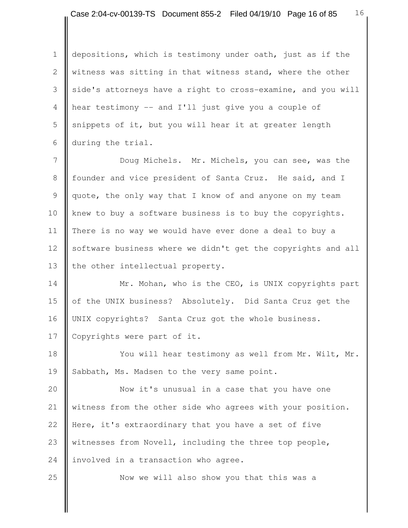1 depositions, which is testimony under oath, just as if the 2 Witness was sitting in that witness stand, where the other 3 side's attorneys have a right to cross-examine, and you will 4 hear testimony -- and I'll just give you a couple of 5 | snippets of it, but you will hear it at greater length 6 during the trial.

7 **Doug Michels.** Mr. Michels, you can see, was the 8 founder and vice president of Santa Cruz. He said, and I 9 quote, the only way that I know of and anyone on my team 10 knew to buy a software business is to buy the copyrights. 11 There is no way we would have ever done a deal to buy a 12 Software business where we didn't get the copyrights and all 13 | the other intellectual property.

14 **Mr.** Mohan, who is the CEO, is UNIX copyrights part 15 | of the UNIX business? Absolutely. Did Santa Cruz get the 16 | UNIX copyrights? Santa Cruz got the whole business. 17 | Copyrights were part of it.

18 | You will hear testimony as well from Mr. Wilt, Mr. 19 Sabbath, Ms. Madsen to the very same point.

20 **Now it's unusual in a case that you have one** 21 Witness from the other side who agrees with your position. 22 **Here, it's extraordinary that you have a set of five** 23 witnesses from Novell, including the three top people, 24 | involved in a transaction who agree.

25 **Now we will also show you that this was a**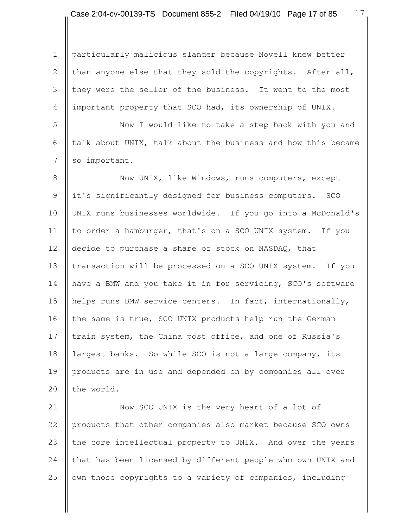1 | particularly malicious slander because Novell knew better 2 than anyone else that they sold the copyrights. After all, 3 they were the seller of the business. It went to the most 4 important property that SCO had, its ownership of UNIX.

5 || Now I would like to take a step back with you and 6  $\parallel$  talk about UNIX, talk about the business and how this became 7 so important.

8 Now UNIX, like Windows, runs computers, except 9 it's significantly designed for business computers. SCO 10 UNIX runs businesses worldwide. If you go into a McDonald's 11 | to order a hamburger, that's on a SCO UNIX system. If you 12 decide to purchase a share of stock on NASDAQ, that 13 | transaction will be processed on a SCO UNIX system. If you 14 have a BMW and you take it in for servicing, SCO's software 15 helps runs BMW service centers. In fact, internationally, 16 the same is true, SCO UNIX products help run the German 17 train system, the China post office, and one of Russia's 18 | largest banks. So while SCO is not a large company, its 19 products are in use and depended on by companies all over 20  $\parallel$  the world.

21 **Now SCO UNIX** is the very heart of a lot of 22 products that other companies also market because SCO owns 23 the core intellectual property to UNIX. And over the years 24 that has been licensed by different people who own UNIX and 25  $\parallel$  own those copyrights to a variety of companies, including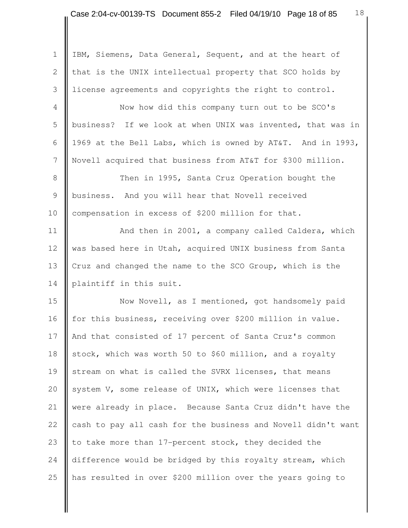1 | IBM, Siemens, Data General, Sequent, and at the heart of 2 | that is the UNIX intellectual property that SCO holds by 3 license agreements and copyrights the right to control. 4 Now how did this company turn out to be SCO's

5 business? If we look at when UNIX was invented, that was in 6  $\parallel$  1969 at the Bell Labs, which is owned by AT&T. And in 1993, 7 Novell acquired that business from AT&T for \$300 million.

8 | Then in 1995, Santa Cruz Operation bought the 9 **business.** And you will hear that Novell received 10 compensation in excess of \$200 million for that.

11 | And then in 2001, a company called Caldera, which 12 was based here in Utah, acquired UNIX business from Santa 13 Cruz and changed the name to the SCO Group, which is the 14 | plaintiff in this suit.

15 Now Novell, as I mentioned, got handsomely paid 16 for this business, receiving over \$200 million in value. 17 || And that consisted of 17 percent of Santa Cruz's common 18 stock, which was worth 50 to \$60 million, and a royalty 19 stream on what is called the SVRX licenses, that means 20  $\parallel$  system V, some release of UNIX, which were licenses that 21 were already in place. Because Santa Cruz didn't have the 22  $\parallel$  cash to pay all cash for the business and Novell didn't want 23 to take more than 17-percent stock, they decided the 24 difference would be bridged by this royalty stream, which 25 has resulted in over \$200 million over the years going to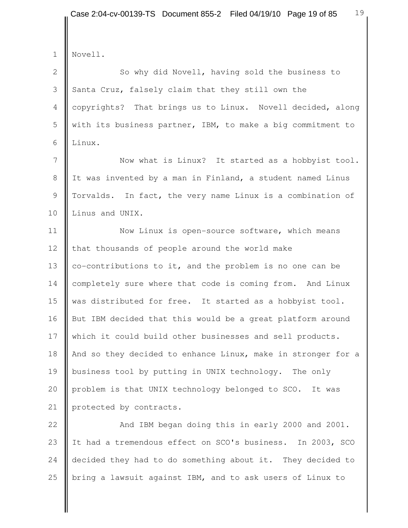| $\mathbf 1$  | Novell.                                                       |
|--------------|---------------------------------------------------------------|
| $\mathbf{2}$ | So why did Novell, having sold the business to                |
| 3            | Santa Cruz, falsely claim that they still own the             |
| 4            | copyrights? That brings us to Linux. Novell decided, along    |
| 5            | with its business partner, IBM, to make a big commitment to   |
| 6            | Linux.                                                        |
| 7            | Now what is Linux? It started as a hobbyist tool.             |
| $8\,$        | It was invented by a man in Finland, a student named Linus    |
| 9            | Torvalds. In fact, the very name Linux is a combination of    |
| 10           | Linus and UNIX.                                               |
| 11           | Now Linux is open-source software, which means                |
| 12           | that thousands of people around the world make                |
| 13           | co-contributions to it, and the problem is no one can be      |
| 14           | completely sure where that code is coming from. And Linux     |
| 15           | was distributed for free. It started as a hobbyist tool.      |
| 16           | But IBM decided that this would be a great platform around    |
| 17           | which it could build other businesses and sell products.      |
| 18           | And so they decided to enhance Linux, make in stronger for a  |
| 19           | business tool by putting in UNIX technology.<br>The only      |
| 20           | problem is that UNIX technology belonged to SCO. It was       |
| 21           | protected by contracts.                                       |
| 22           | And IBM began doing this in early 2000 and 2001.              |
| 23           | It had a tremendous effect on SCO's business.<br>In 2003, SCO |

25 **b**ring a lawsuit against IBM, and to ask users of Linux to

24 decided they had to do something about it. They decided to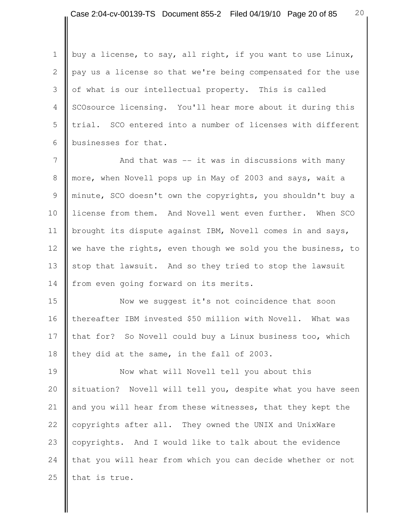1 | buy a license, to say, all right, if you want to use Linux, 2 pay us a license so that we're being compensated for the use 3  $\parallel$  of what is our intellectual property. This is called 4 SCOsource licensing. You'll hear more about it during this 5 | trial. SCO entered into a number of licenses with different 6 businesses for that.

7 | And that was -- it was in discussions with many 8 more, when Novell pops up in May of 2003 and says, wait a 9 minute, SCO doesn't own the copyrights, you shouldn't buy a 10 license from them. And Novell went even further. When SCO 11 | brought its dispute against IBM, Novell comes in and says, 12 we have the rights, even though we sold you the business, to 13 stop that lawsuit. And so they tried to stop the lawsuit 14 | from even going forward on its merits.

15 Now we suggest it's not coincidence that soon 16 | thereafter IBM invested \$50 million with Novell. What was 17 that for? So Novell could buy a Linux business too, which 18 they did at the same, in the fall of 2003.

19 **Now what will Novell tell you about this** 20 situation? Novell will tell you, despite what you have seen 21 and you will hear from these witnesses, that they kept the 22 copyrights after all. They owned the UNIX and UnixWare 23 copyrights. And I would like to talk about the evidence 24 that you will hear from which you can decide whether or not 25 that is true.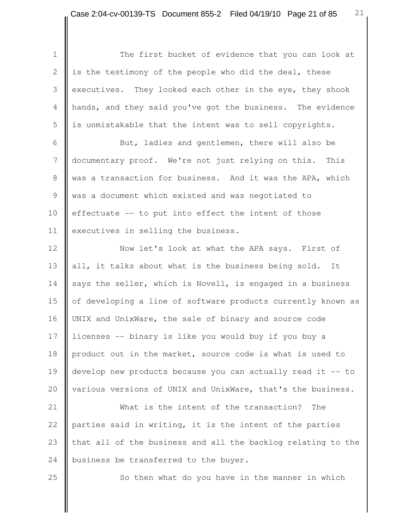Ш

| $\mathbf 1$     | The first bucket of evidence that you can look at            |
|-----------------|--------------------------------------------------------------|
| $\mathbf{2}$    | is the testimony of the people who did the deal, these       |
| 3               | executives. They looked each other in the eye, they shook    |
| $\overline{4}$  | hands, and they said you've got the business. The evidence   |
| 5               | is unmistakable that the intent was to sell copyrights.      |
| 6               | But, ladies and gentlemen, there will also be                |
| $7\phantom{.0}$ | documentary proof. We're not just relying on this. This      |
| $8\,$           | was a transaction for business. And it was the APA, which    |
| $\overline{9}$  | was a document which existed and was negotiated to           |
| 10              | effectuate -- to put into effect the intent of those         |
| 11              | executives in selling the business.                          |
| 12              | Now let's look at what the APA says. First of                |
| 13              | all, it talks about what is the business being sold. It      |
| 14              | says the seller, which is Novell, is engaged in a business   |
| 15              | of developing a line of software products currently known as |
| 16              | UNIX and UnixWare, the sale of binary and source code        |
| 17              | licenses -- binary is like you would buy if you buy a        |
| 18              | product out in the market, source code is what is used to    |
| 19              | develop new products because you can actually read it -- to  |
| 20              | various versions of UNIX and UnixWare, that's the business.  |
| 21              | What is the intent of the transaction?<br>The                |
| 22              | parties said in writing, it is the intent of the parties     |
| 23              | that all of the business and all the backlog relating to the |
| 24              | business be transferred to the buyer.                        |
| 25              | So then what do you have in the manner in which              |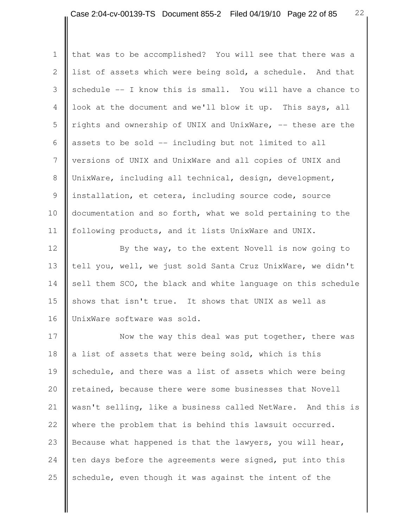1 | that was to be accomplished? You will see that there was a 2 list of assets which were being sold, a schedule. And that 3 Sochedule  $-$ - I know this is small. You will have a chance to 4 look at the document and we'll blow it up. This says, all 5  $\parallel$  rights and ownership of UNIX and UnixWare,  $-$  these are the 6 assets to be sold  $-$  including but not limited to all 7 Versions of UNIX and UnixWare and all copies of UNIX and 8 UnixWare, including all technical, design, development, 9 | installation, et cetera, including source code, source 10 | documentation and so forth, what we sold pertaining to the 11 | following products, and it lists UnixWare and UNIX.

12 By the way, to the extent Novell is now going to 13 tell you, well, we just sold Santa Cruz UnixWare, we didn't 14  $\parallel$  sell them SCO, the black and white language on this schedule 15 Shows that isn't true. It shows that UNIX as well as 16 | UnixWare software was sold.

17 Now the way this deal was put together, there was 18  $\parallel$  a list of assets that were being sold, which is this 19 schedule, and there was a list of assets which were being 20 retained, because there were some businesses that Novell 21 | wasn't selling, like a business called NetWare. And this is 22 where the problem that is behind this lawsuit occurred. 23 Because what happened is that the lawyers, you will hear, 24 ten days before the agreements were signed, put into this 25 Schedule, even though it was against the intent of the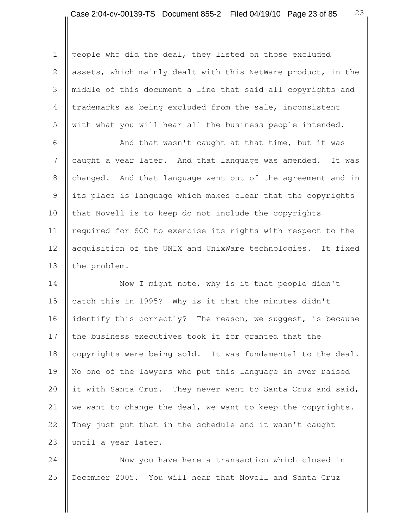1 people who did the deal, they listed on those excluded 2 assets, which mainly dealt with this NetWare product, in the 3 middle of this document a line that said all copyrights and 4 trademarks as being excluded from the sale, inconsistent 5 with what you will hear all the business people intended.

6 | And that wasn't caught at that time, but it was 7 caught a year later. And that language was amended. It was 8 changed. And that language went out of the agreement and in 9 || its place is language which makes clear that the copyrights 10 that Novell is to keep do not include the copyrights 11 | required for SCO to exercise its rights with respect to the 12 | acquisition of the UNIX and UnixWare technologies. It fixed 13 | the problem.

14 Now I might note, why is it that people didn't 15 catch this in 1995? Why is it that the minutes didn't 16 identify this correctly? The reason, we suggest, is because 17 the business executives took it for granted that the 18 copyrights were being sold. It was fundamental to the deal. 19 No one of the lawyers who put this language in ever raised 20  $\parallel$  it with Santa Cruz. They never went to Santa Cruz and said, 21  $\parallel$  we want to change the deal, we want to keep the copyrights. 22 They just put that in the schedule and it wasn't caught 23 until a year later.

24 Now you have here a transaction which closed in 25 December 2005. You will hear that Novell and Santa Cruz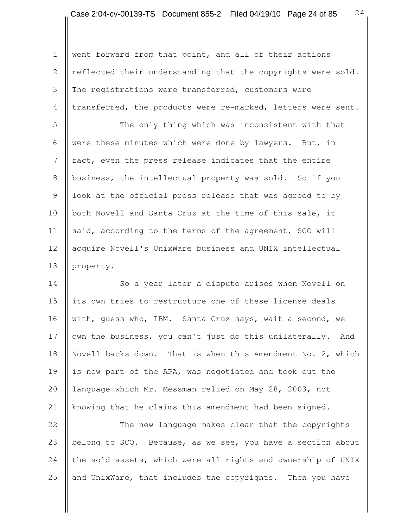1 went forward from that point, and all of their actions 2 | reflected their understanding that the copyrights were sold. 3 The registrations were transferred, customers were 4 transferred, the products were re-marked, letters were sent.

5 The only thing which was inconsistent with that 6 were these minutes which were done by lawyers. But, in 7 fact, even the press release indicates that the entire 8 business, the intellectual property was sold. So if you 9 | look at the official press release that was agreed to by 10 both Novell and Santa Cruz at the time of this sale, it 11 said, according to the terms of the agreement, SCO will 12 | acquire Novell's UnixWare business and UNIX intellectual 13 property.

14 So a year later a dispute arises when Novell on 15 its own tries to restructure one of these license deals 16 with, guess who, IBM. Santa Cruz says, wait a second, we 17 | own the business, you can't just do this unilaterally. And 18 Novell backs down. That is when this Amendment No. 2, which 19 is now part of the APA, was negotiated and took out the 20 | language which Mr. Messman relied on May 28, 2003, not 21 | knowing that he claims this amendment had been signed.

22 The new language makes clear that the copyrights 23 belong to SCO. Because, as we see, you have a section about 24 the sold assets, which were all rights and ownership of UNIX 25  $\parallel$  and UnixWare, that includes the copyrights. Then you have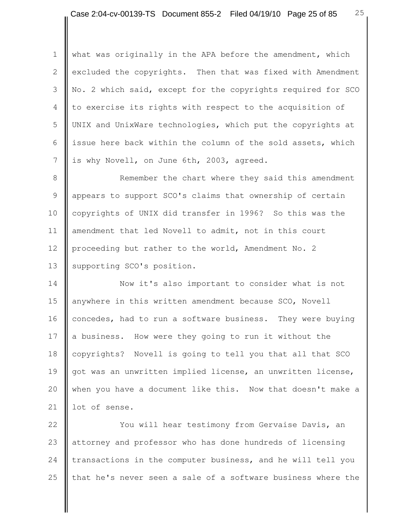1 what was originally in the APA before the amendment, which 2 excluded the copyrights. Then that was fixed with Amendment 3 No. 2 which said, except for the copyrights required for SCO 4 to exercise its rights with respect to the acquisition of 5 UNIX and UnixWare technologies, which put the copyrights at 6 issue here back within the column of the sold assets, which 7 is why Novell, on June 6th, 2003, agreed.

8 Remember the chart where they said this amendment 9 **a** appears to support SCO's claims that ownership of certain 10 copyrights of UNIX did transfer in 1996? So this was the 11 amendment that led Novell to admit, not in this court 12 proceeding but rather to the world, Amendment No. 2 13 | supporting SCO's position.

14 Now it's also important to consider what is not 15 anywhere in this written amendment because SCO, Novell 16 concedes, had to run a software business. They were buying 17 a business. How were they going to run it without the 18 copyrights? Novell is going to tell you that all that SCO 19 got was an unwritten implied license, an unwritten license, 20 when you have a document like this. Now that doesn't make a 21 lot of sense.

22 **X** You will hear testimony from Gervaise Davis, an 23 attorney and professor who has done hundreds of licensing 24 transactions in the computer business, and he will tell you 25  $\parallel$  that he's never seen a sale of a software business where the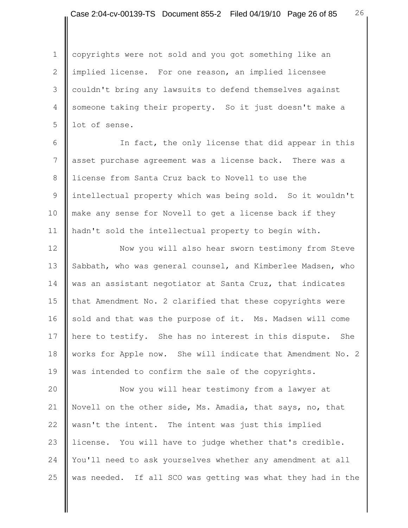1 | copyrights were not sold and you got something like an 2 | implied license. For one reason, an implied licensee 3 couldn't bring any lawsuits to defend themselves against 4 Someone taking their property. So it just doesn't make a  $5$  lot of sense.

6 || The fact, the only license that did appear in this 7 asset purchase agreement was a license back. There was a 8 let license from Santa Cruz back to Novell to use the 9 intellectual property which was being sold. So it wouldn't 10 make any sense for Novell to get a license back if they 11 hadn't sold the intellectual property to begin with.

12 | Now you will also hear sworn testimony from Steve 13 Sabbath, who was general counsel, and Kimberlee Madsen, who 14 was an assistant negotiator at Santa Cruz, that indicates 15 that Amendment No. 2 clarified that these copyrights were 16 sold and that was the purpose of it. Ms. Madsen will come 17 here to testify. She has no interest in this dispute. She 18 works for Apple now. She will indicate that Amendment No. 2 19 was intended to confirm the sale of the copyrights.

20 Now you will hear testimony from a lawyer at 21 Novell on the other side, Ms. Amadia, that says, no, that 22 wasn't the intent. The intent was just this implied 23 license. You will have to judge whether that's credible. 24 You'll need to ask yourselves whether any amendment at all 25  $\parallel$  was needed. If all SCO was getting was what they had in the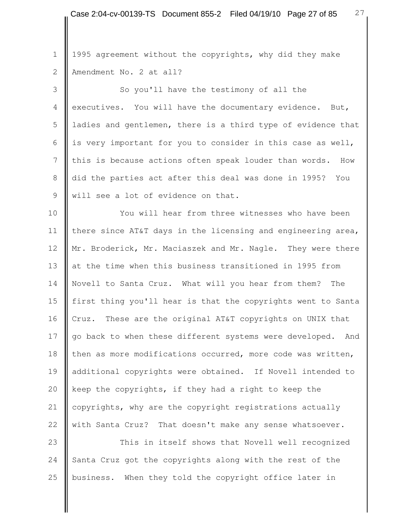1 || 1995 agreement without the copyrights, why did they make 2 | Amendment No. 2 at all?

3 So you'll have the testimony of all the 4 executives. You will have the documentary evidence. But, 5 | ladies and gentlemen, there is a third type of evidence that 6 is very important for you to consider in this case as well, 7 Ithis is because actions often speak louder than words. How 8 did the parties act after this deal was done in 1995? You 9 Will see a lot of evidence on that.

10 **II** You will hear from three witnesses who have been 11 | there since AT&T days in the licensing and engineering area, 12 || Mr. Broderick, Mr. Maciaszek and Mr. Nagle. They were there 13 at the time when this business transitioned in 1995 from 14 Novell to Santa Cruz. What will you hear from them? The 15 first thing you'll hear is that the copyrights went to Santa 16 Cruz. These are the original AT&T copyrights on UNIX that 17 go back to when these different systems were developed. And 18 then as more modifications occurred, more code was written, 19 ddditional copyrights were obtained. If Novell intended to 20  $\parallel$  keep the copyrights, if they had a right to keep the 21  $\parallel$  copyrights, why are the copyright registrations actually 22 with Santa Cruz? That doesn't make any sense whatsoever.

23 This in itself shows that Novell well recognized 24 Santa Cruz got the copyrights along with the rest of the 25 business. When they told the copyright office later in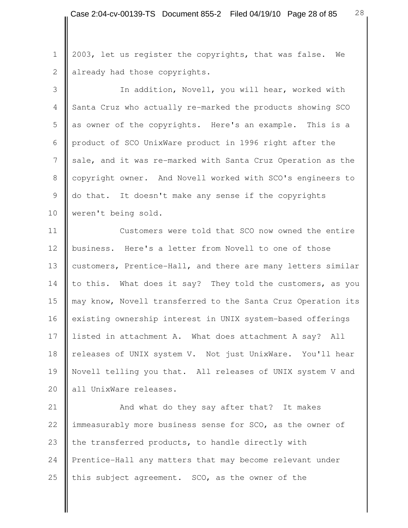1 | 2003, let us register the copyrights, that was false. We 2 | already had those copyrights.

3 | In addition, Novell, you will hear, worked with 4 Santa Cruz who actually re-marked the products showing SCO 5 as owner of the copyrights. Here's an example. This is a 6 product of SCO UnixWare product in 1996 right after the 7 sale, and it was re-marked with Santa Cruz Operation as the 8 copyright owner. And Novell worked with SCO's engineers to 9 do that. It doesn't make any sense if the copyrights 10 **weren't** being sold.

11 **Customers were told that SCO now owned the entire** 12 business. Here's a letter from Novell to one of those 13 customers, Prentice-Hall, and there are many letters similar 14 to this. What does it say? They told the customers, as you 15 may know, Novell transferred to the Santa Cruz Operation its 16 existing ownership interest in UNIX system-based offerings 17 listed in attachment A. What does attachment A say? All 18 releases of UNIX system V. Not just UnixWare. You'll hear 19 Novell telling you that. All releases of UNIX system V and 20 | all UnixWare releases.

21 | And what do they say after that? It makes 22 immeasurably more business sense for SCO, as the owner of 23  $\parallel$  the transferred products, to handle directly with 24 Prentice-Hall any matters that may become relevant under 25  $\parallel$  this subject agreement. SCO, as the owner of the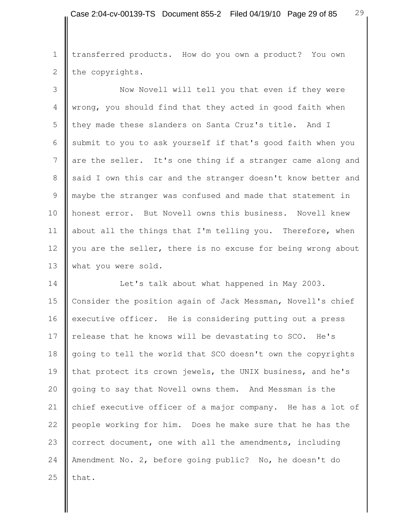1 | transferred products. How do you own a product? You own 2 the copyrights.

3 || Now Novell will tell you that even if they were 4 wrong, you should find that they acted in good faith when 5 they made these slanders on Santa Cruz's title. And I 6 Submit to you to ask yourself if that's good faith when you 7 are the seller. It's one thing if a stranger came along and 8 said I own this car and the stranger doesn't know better and 9 maybe the stranger was confused and made that statement in 10 || honest error. But Novell owns this business. Novell knew 11 about all the things that I'm telling you. Therefore, when 12 you are the seller, there is no excuse for being wrong about 13 What you were sold.

14 | Let's talk about what happened in May 2003. 15 | Consider the position again of Jack Messman, Novell's chief 16 executive officer. He is considering putting out a press 17 | release that he knows will be devastating to SCO. He's 18 going to tell the world that SCO doesn't own the copyrights 19 that protect its crown jewels, the UNIX business, and he's 20 going to say that Novell owns them. And Messman is the 21 chief executive officer of a major company. He has a lot of 22 people working for him. Does he make sure that he has the 23 correct document, one with all the amendments, including 24 Amendment No. 2, before going public? No, he doesn't do 25  $\parallel$  that.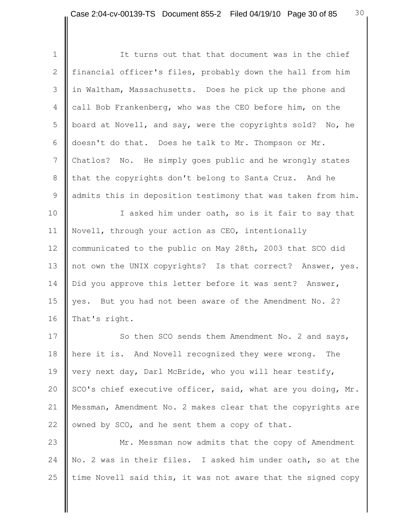| $\mathbf 1$   | It turns out that that document was in the chief             |
|---------------|--------------------------------------------------------------|
| $\mathbf{2}$  | financial officer's files, probably down the hall from him   |
| 3             | in Waltham, Massachusetts. Does he pick up the phone and     |
| 4             | call Bob Frankenberg, who was the CEO before him, on the     |
| 5             | board at Novell, and say, were the copyrights sold? No, he   |
| 6             | doesn't do that. Does he talk to Mr. Thompson or Mr.         |
| 7             | Chatlos? No. He simply goes public and he wrongly states     |
| $\,8\,$       | that the copyrights don't belong to Santa Cruz. And he       |
| $\mathcal{G}$ | admits this in deposition testimony that was taken from him. |
| 10            | I asked him under oath, so is it fair to say that            |
| 11            | Novell, through your action as CEO, intentionally            |
| 12            | communicated to the public on May 28th, 2003 that SCO did    |
| 13            | not own the UNIX copyrights? Is that correct? Answer, yes.   |
| 14            | Did you approve this letter before it was sent? Answer,      |
| 15            | yes. But you had not been aware of the Amendment No. 2?      |
| 16            | That's right.                                                |
| 17            | So then SCO sends them Amendment No. 2 and says,             |
| 18            | here it is. And Novell recognized they were wrong. The       |
| 19            | very next day, Darl McBride, who you will hear testify,      |

20  $\parallel$  SCO's chief executive officer, said, what are you doing, Mr. 21 | Messman, Amendment No. 2 makes clear that the copyrights are 22  $\parallel$  owned by SCO, and he sent them a copy of that.

23 Mr. Messman now admits that the copy of Amendment 24 No. 2 was in their files. I asked him under oath, so at the 25  $\parallel$  time Novell said this, it was not aware that the signed copy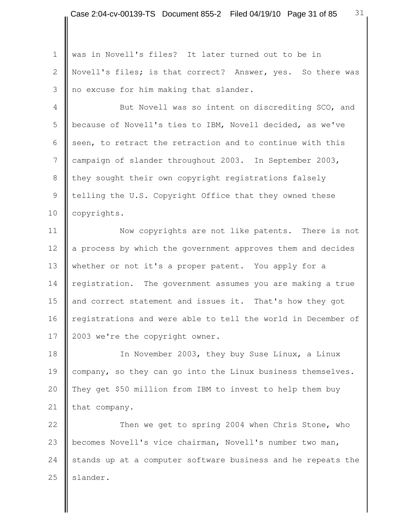1 was in Novell's files? It later turned out to be in 2 | Novell's files; is that correct? Answer, yes. So there was 3 no excuse for him making that slander.

4 || But Novell was so intent on discrediting SCO, and 5 | because of Novell's ties to IBM, Novell decided, as we've 6 seen, to retract the retraction and to continue with this 7 campaign of slander throughout 2003. In September 2003, 8 they sought their own copyright registrations falsely 9 | telling the U.S. Copyright Office that they owned these 10 | copyrights.

11 | Now copyrights are not like patents. There is not 12 a process by which the government approves them and decides 13 whether or not it's a proper patent. You apply for a 14 registration. The government assumes you are making a true 15 and correct statement and issues it. That's how they got 16 | registrations and were able to tell the world in December of 17 | 2003 we're the copyright owner.

18 | In November 2003, they buy Suse Linux, a Linux 19 company, so they can go into the Linux business themselves. 20 || They get \$50 million from IBM to invest to help them buy 21 that company.

22 Then we get to spring 2004 when Chris Stone, who 23 | becomes Novell's vice chairman, Novell's number two man, 24 stands up at a computer software business and he repeats the  $25$  slander.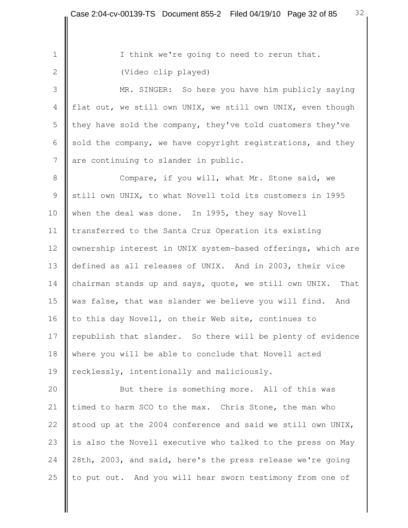1 | I think we're going to need to rerun that. 2 (Video clip played)

 3 MR. SINGER: So here you have him publicly saying 4 flat out, we still own UNIX, we still own UNIX, even though 5 they have sold the company, they've told customers they've 6 sold the company, we have copyright registrations, and they 7 are continuing to slander in public.

8 **Compare, if you will, what Mr. Stone said, we** 9 Still own UNIX, to what Novell told its customers in 1995 10 when the deal was done. In 1995, they say Novell 11 | transferred to the Santa Cruz Operation its existing 12 | ownership interest in UNIX system-based offerings, which are 13 defined as all releases of UNIX. And in 2003, their vice 14 chairman stands up and says, quote, we still own UNIX. That 15 was false, that was slander we believe you will find. And 16  $\parallel$  to this day Novell, on their Web site, continues to 17 | republish that slander. So there will be plenty of evidence 18 where you will be able to conclude that Novell acted 19 | recklessly, intentionally and maliciously.

20 But there is something more. All of this was 21 timed to harm SCO to the max. Chris Stone, the man who 22 stood up at the 2004 conference and said we still own UNIX, 23 is also the Novell executive who talked to the press on May 24 28th, 2003, and said, here's the press release we're going 25  $\parallel$  to put out. And you will hear sworn testimony from one of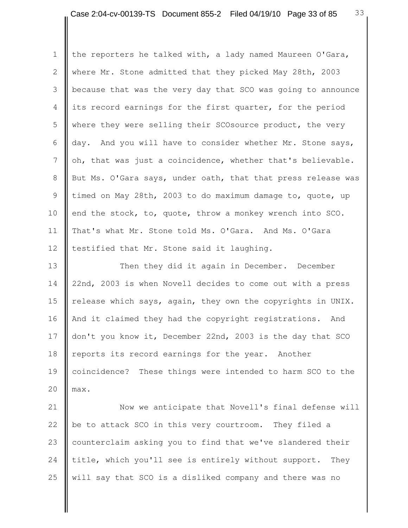1 | the reporters he talked with, a lady named Maureen O'Gara, 2 where Mr. Stone admitted that they picked May 28th, 2003 3 because that was the very day that SCO was going to announce 4 its record earnings for the first quarter, for the period 5 where they were selling their SCOsource product, the very 6  $\parallel$  day. And you will have to consider whether Mr. Stone says, 7  $\parallel$  oh, that was just a coincidence, whether that's believable. 8 But Ms. O'Gara says, under oath, that that press release was 9 timed on May 28th, 2003 to do maximum damage to, quote, up 10  $\parallel$  end the stock, to, quote, throw a monkey wrench into SCO. 11 | That's what Mr. Stone told Ms. O'Gara. And Ms. O'Gara 12  $\parallel$  testified that Mr. Stone said it laughing.

13 **Then** they did it again in December. December 14 22nd, 2003 is when Novell decides to come out with a press 15 release which says, again, they own the copyrights in UNIX. 16 | And it claimed they had the copyright registrations. And 17 don't you know it, December 22nd, 2003 is the day that SCO 18 | reports its record earnings for the year. Another 19 coincidence? These things were intended to harm SCO to the 20  $\parallel$  max.

21 | Now we anticipate that Novell's final defense will 22  $\parallel$  be to attack SCO in this very courtroom. They filed a 23 counterclaim asking you to find that we've slandered their 24 title, which you'll see is entirely without support. They 25  $\parallel$  will say that SCO is a disliked company and there was no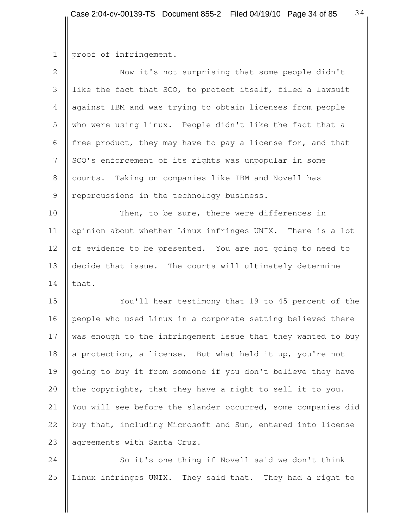```
1 proof of infringement.
```

| $\overline{2}$ | Now it's not surprising that some people didn't              |
|----------------|--------------------------------------------------------------|
| 3              | like the fact that SCO, to protect itself, filed a lawsuit   |
| 4              | against IBM and was trying to obtain licenses from people    |
| 5              | who were using Linux. People didn't like the fact that a     |
| 6              | free product, they may have to pay a license for, and that   |
| 7              | SCO's enforcement of its rights was unpopular in some        |
| $8\,$          | courts. Taking on companies like IBM and Novell has          |
| $\mathcal{G}$  | repercussions in the technology business.                    |
| 10             | Then, to be sure, there were differences in                  |
| 11             | opinion about whether Linux infringes UNIX. There is a lot   |
| 12             | of evidence to be presented. You are not going to need to    |
| 13             | decide that issue. The courts will ultimately determine      |
| 14             | that.                                                        |
| 15             | You'll hear testimony that 19 to 45 percent of the           |
| 16             | people who used Linux in a corporate setting believed there  |
| 17             | was enough to the infringement issue that they wanted to buy |
| 18             | a protection, a license. But what held it up, you're not     |
| 19             | going to buy it from someone if you don't believe they have  |
| 20             | the copyrights, that they have a right to sell it to you.    |
| 21             | You will see before the slander occurred, some companies did |
| 22             | buy that, including Microsoft and Sun, entered into license  |

23 agreements with Santa Cruz.

24 So it's one thing if Novell said we don't think 25 Linux infringes UNIX. They said that. They had a right to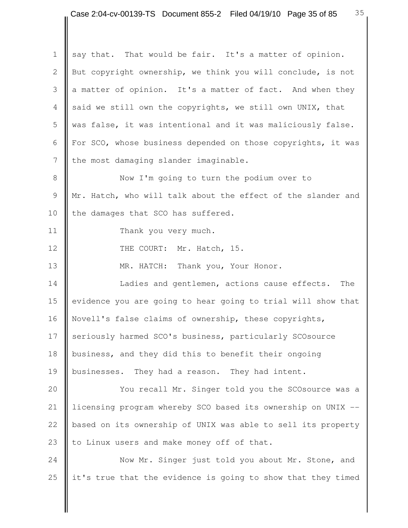1 say that. That would be fair. It's a matter of opinion. 2 But copyright ownership, we think you will conclude, is not 3  $\parallel$  a matter of opinion. It's a matter of fact. And when they 4 said we still own the copyrights, we still own UNIX, that 5 was false, it was intentional and it was maliciously false. 6  $\parallel$  For SCO, whose business depended on those copyrights, it was  $7$  the most damaging slander imaginable. 8 Now I'm going to turn the podium over to 9 | Mr. Hatch, who will talk about the effect of the slander and 10 the damages that SCO has suffered. 11 **Thank** you very much. 12 | THE COURT: Mr. Hatch, 15. 13 **NR. HATCH:** Thank you, Your Honor. 14 **I** Ladies and gentlemen, actions cause effects. The 15 evidence you are going to hear going to trial will show that 16 Novell's false claims of ownership, these copyrights, 17 seriously harmed SCO's business, particularly SCOsource 18 business, and they did this to benefit their ongoing 19 businesses. They had a reason. They had intent. 20 **We are SCOSOUTCE VIOU TO SCOSOUTCE WAS** a 20 **YOU TO SCOSOUTCE WAS** a 21 | licensing program whereby SCO based its ownership on UNIX  $-$ 22 | based on its ownership of UNIX was able to sell its property 23  $\parallel$  to Linux users and make money off of that. 24 Now Mr. Singer just told you about Mr. Stone, and

25  $\parallel$  it's true that the evidence is going to show that they timed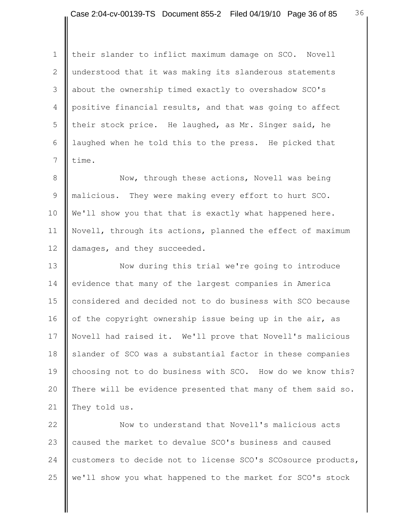1 | their slander to inflict maximum damage on SCO. Novell 2 understood that it was making its slanderous statements 3 about the ownership timed exactly to overshadow SCO's 4 positive financial results, and that was going to affect 5 their stock price. He laughed, as Mr. Singer said, he 6 | laughed when he told this to the press. He picked that  $7 \parallel$  time.

8 **Now, through these actions, Novell was being** 9 || malicious. They were making every effort to hurt SCO. 10 We'll show you that that is exactly what happened here. 11 Novell, through its actions, planned the effect of maximum 12 damages, and they succeeded.

13 **Now during this trial we're going to introduce** 14 evidence that many of the largest companies in America 15 considered and decided not to do business with SCO because 16  $\parallel$  of the copyright ownership issue being up in the air, as 17 Novell had raised it. We'll prove that Novell's malicious 18 Slander of SCO was a substantial factor in these companies 19 choosing not to do business with SCO. How do we know this? 20 There will be evidence presented that many of them said so. 21 They told us.

22 **Now to understand that Novell's malicious acts** 23 caused the market to devalue SCO's business and caused 24 customers to decide not to license SCO's SCOsource products, 25 we'll show you what happened to the market for SCO's stock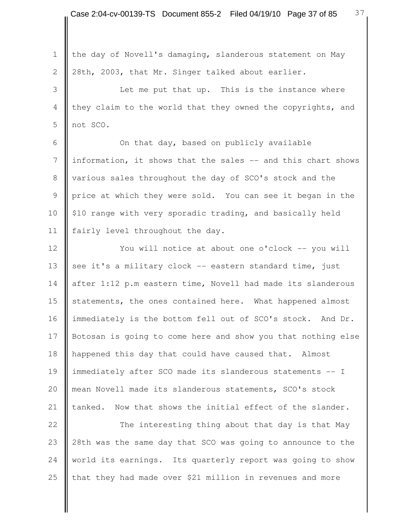1 the day of Novell's damaging, slanderous statement on May 2  $\parallel$  28th, 2003, that Mr. Singer talked about earlier. 3 **I** Let me put that up. This is the instance where 4 they claim to the world that they owned the copyrights, and 5 not SCO. 6 **C** On that day, based on publicly available 7 | information, it shows that the sales -- and this chart shows 8 various sales throughout the day of SCO's stock and the 9 price at which they were sold. You can see it began in the 10 | \$10 range with very sporadic trading, and basically held 11 | fairly level throughout the day. 12 | You will notice at about one o'clock -- you will 13  $\parallel$  see it's a military clock -- eastern standard time, just 14 after 1:12 p.m eastern time, Novell had made its slanderous 15 statements, the ones contained here. What happened almost 16 immediately is the bottom fell out of SCO's stock. And Dr. 17 Botosan is going to come here and show you that nothing else 18 happened this day that could have caused that. Almost 19 immediately after SCO made its slanderous statements -- I 20 mean Novell made its slanderous statements, SCO's stock 21  $\parallel$  tanked. Now that shows the initial effect of the slander. 22 **The interesting thing about that day is that May** 23 28th was the same day that SCO was going to announce to the 24 world its earnings. Its quarterly report was going to show 25  $\parallel$  that they had made over \$21 million in revenues and more

37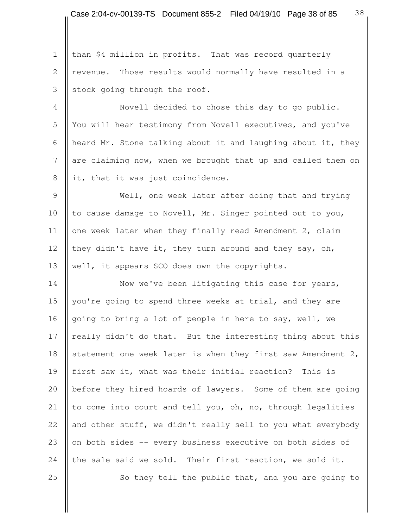1 | than \$4 million in profits. That was record quarterly 2 | revenue. Those results would normally have resulted in a  $3$  stock going through the roof.

 4 Novell decided to chose this day to go public. 5 You will hear testimony from Novell executives, and you've 6 | heard Mr. Stone talking about it and laughing about it, they 7 are claiming now, when we brought that up and called them on 8 it, that it was just coincidence.

9 | Well, one week later after doing that and trying 10 to cause damage to Novell, Mr. Singer pointed out to you, 11  $\parallel$  one week later when they finally read Amendment 2, claim 12 they didn't have it, they turn around and they say, oh, 13 | well, it appears SCO does own the copyrights.

14 Now we've been litigating this case for years, 15 you're going to spend three weeks at trial, and they are 16 going to bring a lot of people in here to say, well, we 17 | really didn't do that. But the interesting thing about this 18 statement one week later is when they first saw Amendment 2, 19 first saw it, what was their initial reaction? This is 20 **b**efore they hired hoards of lawyers. Some of them are going 21  $\parallel$  to come into court and tell you, oh, no, through legalities 22  $\parallel$  and other stuff, we didn't really sell to you what everybody 23 on both sides -- every business executive on both sides of 24 the sale said we sold. Their first reaction, we sold it. 25  $\parallel$  So they tell the public that, and you are going to

38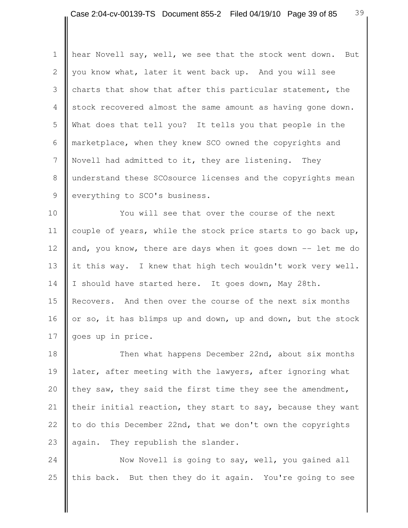1 | hear Novell say, well, we see that the stock went down. But 2 you know what, later it went back up. And you will see 3 charts that show that after this particular statement, the 4 stock recovered almost the same amount as having gone down. 5 What does that tell you? It tells you that people in the 6 marketplace, when they knew SCO owned the copyrights and 7 Novell had admitted to it, they are listening. They 8 understand these SCOsource licenses and the copyrights mean 9 everything to SCO's business.

10 You will see that over the course of the next 11 couple of years, while the stock price starts to go back up, 12 and, you know, there are days when it goes down -- let me do 13 it this way. I knew that high tech wouldn't work very well. 14 | I should have started here. It goes down, May 28th. 15 Recovers. And then over the course of the next six months 16 or so, it has blimps up and down, up and down, but the stock 17 || goes up in price.

18 || Then what happens December 22nd, about six months 19 later, after meeting with the lawyers, after ignoring what 20  $\parallel$  they saw, they said the first time they see the amendment, 21 their initial reaction, they start to say, because they want 22  $\parallel$  to do this December 22nd, that we don't own the copyrights 23  $\parallel$  again. They republish the slander.

24 Now Novell is going to say, well, you gained all 25  $\parallel$  this back. But then they do it again. You're going to see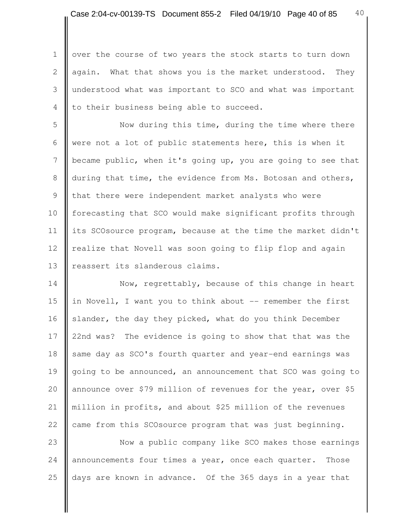40

1 | over the course of two years the stock starts to turn down 2 again. What that shows you is the market understood. They 3 understood what was important to SCO and what was important 4  $\parallel$  to their business being able to succeed.

5 || Now during this time, during the time where there 6 were not a lot of public statements here, this is when it 7 became public, when it's going up, you are going to see that 8 during that time, the evidence from Ms. Botosan and others, 9 || that there were independent market analysts who were 10 forecasting that SCO would make significant profits through 11 its SCOsource program, because at the time the market didn't 12 | realize that Novell was soon going to flip flop and again 13 | reassert its slanderous claims.

14 Now, regrettably, because of this change in heart 15 in Novell, I want you to think about -- remember the first 16 Slander, the day they picked, what do you think December 17 22nd was? The evidence is going to show that that was the 18 same day as SCO's fourth quarter and year-end earnings was 19 going to be announced, an announcement that SCO was going to 20 announce over \$79 million of revenues for the year, over \$5 21 | million in profits, and about \$25 million of the revenues 22  $\parallel$  came from this SCOsource program that was just beginning.

23 **Now** a public company like SCO makes those earnings 24 announcements four times a year, once each quarter. Those 25 days are known in advance. Of the 365 days in a year that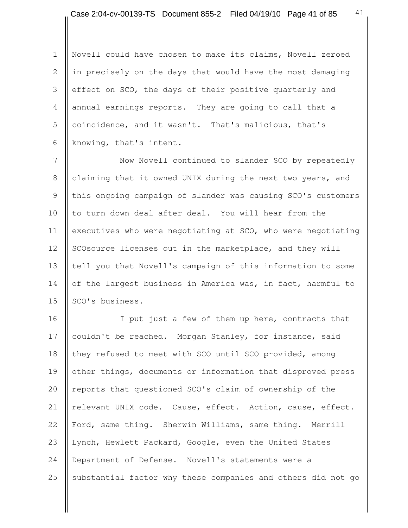1 | Novell could have chosen to make its claims, Novell zeroed 2 | in precisely on the days that would have the most damaging 3 effect on SCO, the days of their positive quarterly and 4 annual earnings reports. They are going to call that a 5 coincidence, and it wasn't. That's malicious, that's 6 | knowing, that's intent.

7 Now Novell continued to slander SCO by repeatedly 8 claiming that it owned UNIX during the next two years, and 9 Ithis ongoing campaign of slander was causing SCO's customers 10 to turn down deal after deal. You will hear from the 11 executives who were negotiating at SCO, who were negotiating 12 SCOsource licenses out in the marketplace, and they will 13 tell you that Novell's campaign of this information to some 14 of the largest business in America was, in fact, harmful to 15 | SCO's business.

16 | I put just a few of them up here, contracts that 17 couldn't be reached. Morgan Stanley, for instance, said 18 they refused to meet with SCO until SCO provided, among 19 other things, documents or information that disproved press 20 | reports that questioned SCO's claim of ownership of the 21 | relevant UNIX code. Cause, effect. Action, cause, effect. 22 Ford, same thing. Sherwin Williams, same thing. Merrill 23 Lynch, Hewlett Packard, Google, even the United States 24 Department of Defense. Novell's statements were a 25  $\parallel$  substantial factor why these companies and others did not go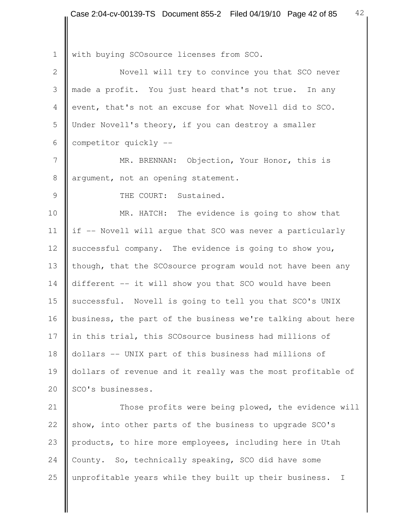1 With buying SCOsource licenses from SCO. 2 | Novell will try to convince you that SCO never 3 made a profit. You just heard that's not true. In any 4 event, that's not an excuse for what Novell did to SCO. 5 Under Novell's theory, if you can destroy a smaller 6 competitor quickly -- 7 | MR. BRENNAN: Objection, Your Honor, this is 8 argument, not an opening statement. 9 | THE COURT: Sustained. 10 **MR.** HATCH: The evidence is going to show that 11 | if -- Novell will argue that SCO was never a particularly 12 successful company. The evidence is going to show you, 13 though, that the SCOsource program would not have been any 14 different -- it will show you that SCO would have been 15 successful. Novell is going to tell you that SCO's UNIX 16 | business, the part of the business we're talking about here 17 in this trial, this SCOsource business had millions of 18 dollars -- UNIX part of this business had millions of 19 dollars of revenue and it really was the most profitable of 20 | SCO's businesses. 21 | Those profits were being plowed, the evidence will 22 show, into other parts of the business to upgrade SCO's 23 products, to hire more employees, including here in Utah 24 County. So, technically speaking, SCO did have some

25 | unprofitable years while they built up their business. I

42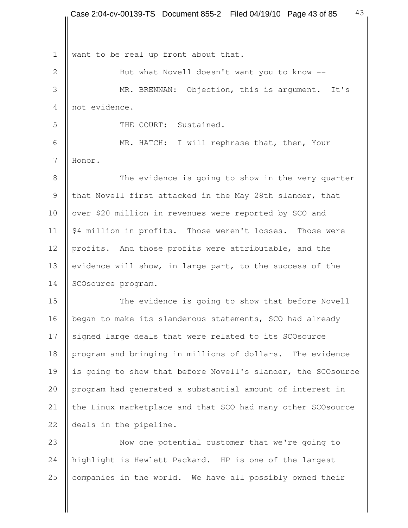1 want to be real up front about that.

2 But what Novell doesn't want you to know -- 3 MR. BRENNAN: Objection, this is argument. It's 4 not evidence.

5 | THE COURT: Sustained.

 6 MR. HATCH: I will rephrase that, then, Your 7 Honor.

8 The evidence is going to show in the very quarter 9  $\parallel$  that Novell first attacked in the May 28th slander, that 10 | over \$20 million in revenues were reported by SCO and 11 | \$4 million in profits. Those weren't losses. Those were 12 profits. And those profits were attributable, and the 13 evidence will show, in large part, to the success of the 14 SCOsource program.

15 The evidence is going to show that before Novell 16 | began to make its slanderous statements, SCO had already 17 signed large deals that were related to its SCOsource 18 program and bringing in millions of dollars. The evidence 19 is going to show that before Novell's slander, the SCOsource 20 | program had generated a substantial amount of interest in 21 | the Linux marketplace and that SCO had many other SCOsource 22 **deals** in the pipeline.

23 Now one potential customer that we're going to 24 highlight is Hewlett Packard. HP is one of the largest 25  $\parallel$  companies in the world. We have all possibly owned their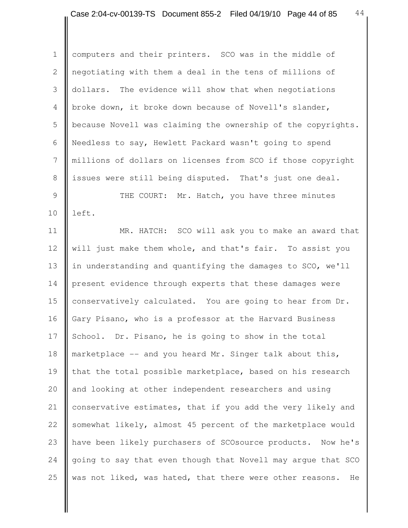Ш

| $\mathbf 1$   | computers and their printers. SCO was in the middle of         |
|---------------|----------------------------------------------------------------|
| $\mathbf{2}$  | negotiating with them a deal in the tens of millions of        |
| 3             | The evidence will show that when negotiations<br>dollars.      |
| 4             | broke down, it broke down because of Novell's slander,         |
| 5             | because Novell was claiming the ownership of the copyrights.   |
| 6             | Needless to say, Hewlett Packard wasn't going to spend         |
| 7             | millions of dollars on licenses from SCO if those copyright    |
| $8\,$         | issues were still being disputed. That's just one deal.        |
| $\mathcal{G}$ | THE COURT: Mr. Hatch, you have three minutes                   |
| 10            | left.                                                          |
| 11            | MR. HATCH: SCO will ask you to make an award that              |
| 12            | will just make them whole, and that's fair. To assist you      |
| 13            | in understanding and quantifying the damages to SCO, we'll     |
| 14            | present evidence through experts that these damages were       |
| 15            | conservatively calculated. You are going to hear from Dr.      |
| 16            | Gary Pisano, who is a professor at the Harvard Business        |
| 17            | School. Dr. Pisano, he is going to show in the total           |
| 18            | marketplace -- and you heard Mr. Singer talk about this,       |
| 19            | that the total possible marketplace, based on his research     |
| 20            | and looking at other independent researchers and using         |
| 21            | conservative estimates, that if you add the very likely and    |
| 22            | somewhat likely, almost 45 percent of the marketplace would    |
| 23            | have been likely purchasers of SCOsource products.<br>Now he's |
| 24            | going to say that even though that Novell may argue that SCO   |
| 25            | was not liked, was hated, that there were other reasons.<br>He |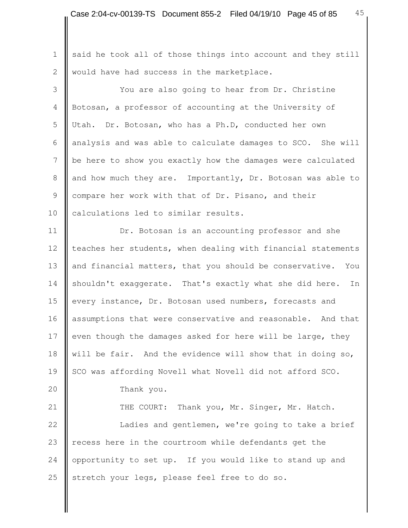1 said he took all of those things into account and they still 2 | would have had success in the marketplace.

 3 You are also going to hear from Dr. Christine 4 Botosan, a professor of accounting at the University of 5 Utah. Dr. Botosan, who has a Ph.D, conducted her own 6 | analysis and was able to calculate damages to  $SCO$ . She will 7 | be here to show you exactly how the damages were calculated 8 and how much they are. Importantly, Dr. Botosan was able to 9 compare her work with that of Dr. Pisano, and their 10 | calculations led to similar results.

11 **Dr.** Botosan is an accounting professor and she 12 | teaches her students, when dealing with financial statements 13 and financial matters, that you should be conservative. You 14 shouldn't exaggerate. That's exactly what she did here. In 15 every instance, Dr. Botosan used numbers, forecasts and 16 assumptions that were conservative and reasonable. And that 17 even though the damages asked for here will be large, they 18 will be fair. And the evidence will show that in doing so, 19 SCO was affording Novell what Novell did not afford SCO. 20 Thank you. 21 | THE COURT: Thank you, Mr. Singer, Mr. Hatch.

22 | Ladies and gentlemen, we're going to take a brief 23  $\parallel$  recess here in the courtroom while defendants get the 24 opportunity to set up. If you would like to stand up and 25 Stretch your legs, please feel free to do so.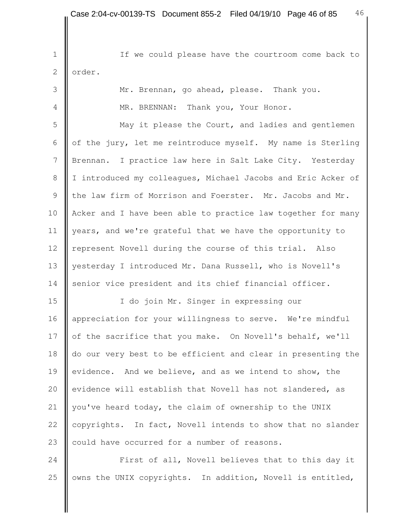1 | If we could please have the courtroom come back to 2 **le** order. 3 Mr. Brennan, go ahead, please. Thank you. 4 **H** MR. BRENNAN: Thank you, Your Honor. 5 May it please the Court, and ladies and gentlemen 6  $\parallel$  of the jury, let me reintroduce myself. My name is Sterling 7 Brennan. I practice law here in Salt Lake City. Yesterday 8 | I introduced my colleagues, Michael Jacobs and Eric Acker of 9 the law firm of Morrison and Foerster. Mr. Jacobs and Mr. 10 | Acker and I have been able to practice law together for many 11 | years, and we're grateful that we have the opportunity to 12 | represent Novell during the course of this trial. Also 13 | yesterday I introduced Mr. Dana Russell, who is Novell's 14 senior vice president and its chief financial officer. 15 | I do join Mr. Singer in expressing our 16 | appreciation for your willingness to serve. We're mindful 17 of the sacrifice that you make. On Novell's behalf, we'll 18 do our very best to be efficient and clear in presenting the 19 evidence. And we believe, and as we intend to show, the 20 evidence will establish that Novell has not slandered, as 21 | you've heard today, the claim of ownership to the UNIX 22 copyrights. In fact, Novell intends to show that no slander

23 could have occurred for a number of reasons.

24 **First of all, Novell believes that to this day it** 25 | owns the UNIX copyrights. In addition, Novell is entitled,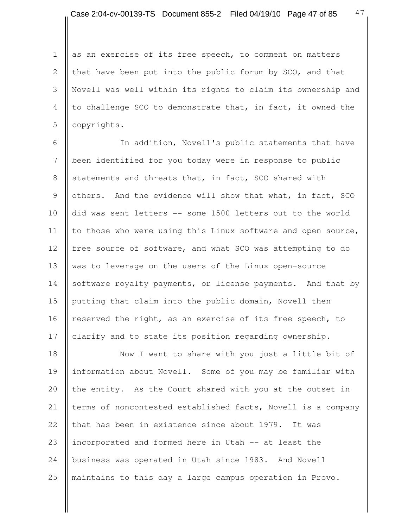47

1 as an exercise of its free speech, to comment on matters 2 that have been put into the public forum by  $SCO$ , and that 3 Novell was well within its rights to claim its ownership and 4 to challenge SCO to demonstrate that, in fact, it owned the 5 **copyrights.** 

6 || The addition, Novell's public statements that have 7 been identified for you today were in response to public 8 statements and threats that, in fact, SCO shared with 9  $\parallel$  others. And the evidence will show that what, in fact, SCO 10 did was sent letters -- some 1500 letters out to the world 11 | to those who were using this Linux software and open source, 12 free source of software, and what SCO was attempting to do 13 was to leverage on the users of the Linux open-source 14 software royalty payments, or license payments. And that by 15 putting that claim into the public domain, Novell then 16 | reserved the right, as an exercise of its free speech, to 17 | clarify and to state its position regarding ownership.

18 || Now I want to share with you just a little bit of 19 information about Novell. Some of you may be familiar with 20  $\parallel$  the entity. As the Court shared with you at the outset in 21 | terms of noncontested established facts, Novell is a company 22  $\parallel$  that has been in existence since about 1979. It was 23 incorporated and formed here in Utah -- at least the 24 business was operated in Utah since 1983. And Novell 25 || maintains to this day a large campus operation in Provo.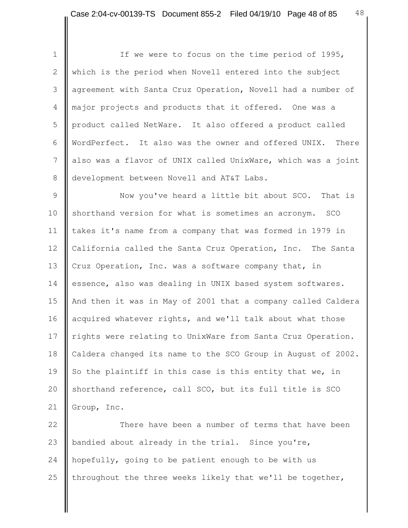1 || If we were to focus on the time period of 1995, 2 which is the period when Novell entered into the subject 3 agreement with Santa Cruz Operation, Novell had a number of 4 major projects and products that it offered. One was a 5 product called NetWare. It also offered a product called 6 WordPerfect. It also was the owner and offered UNIX. There 7 also was a flavor of UNIX called UnixWare, which was a joint 8 development between Novell and AT&T Labs.

9 | Now you've heard a little bit about SCO. That is 10 Shorthand version for what is sometimes an acronym. SCO 11 | takes it's name from a company that was formed in 1979 in 12 | California called the Santa Cruz Operation, Inc. The Santa 13 Cruz Operation, Inc. was a software company that, in 14 essence, also was dealing in UNIX based system softwares. 15 || And then it was in May of 2001 that a company called Caldera 16 acquired whatever rights, and we'll talk about what those 17 | rights were relating to UnixWare from Santa Cruz Operation. 18 Caldera changed its name to the SCO Group in August of 2002. 19 So the plaintiff in this case is this entity that we, in 20 Shorthand reference, call SCO, but its full title is SCO 21 Group, Inc.

**There have been a number of terms that have been**  $\parallel$  bandied about already in the trial. Since you're, 24 hopefully, going to be patient enough to be with us  $\parallel$  throughout the three weeks likely that we'll be together,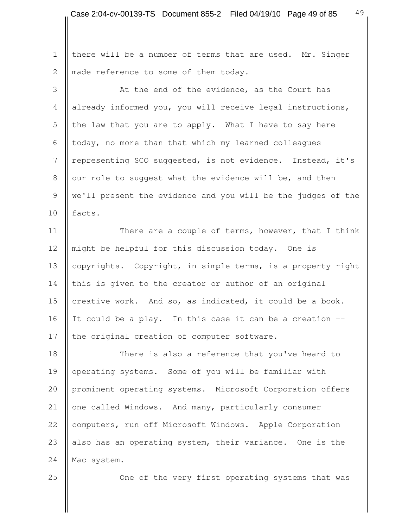1 | there will be a number of terms that are used. Mr. Singer 2 made reference to some of them today.

3 **At the end of the evidence, as the Court has**  4 already informed you, you will receive legal instructions, 5 the law that you are to apply. What I have to say here 6  $\parallel$  today, no more than that which my learned colleagues 7 | representing SCO suggested, is not evidence. Instead, it's 8 | our role to suggest what the evidence will be, and then 9 we'll present the evidence and you will be the judges of the 10  $\parallel$  facts.

11 | There are a couple of terms, however, that I think 12 might be helpful for this discussion today. One is 13 copyrights. Copyright, in simple terms, is a property right  $14$  this is given to the creator or author of an original 15 creative work. And so, as indicated, it could be a book. 16 It could be a play. In this case it can be a creation  $-$ 17 | the original creation of computer software.

18 **There is also a reference that you've heard to** 19 operating systems. Some of you will be familiar with 20 prominent operating systems. Microsoft Corporation offers 21 | one called Windows. And many, particularly consumer 22 computers, run off Microsoft Windows. Apple Corporation 23 also has an operating system, their variance. One is the 24 Mac system.

25 **One of the very first operating systems that was**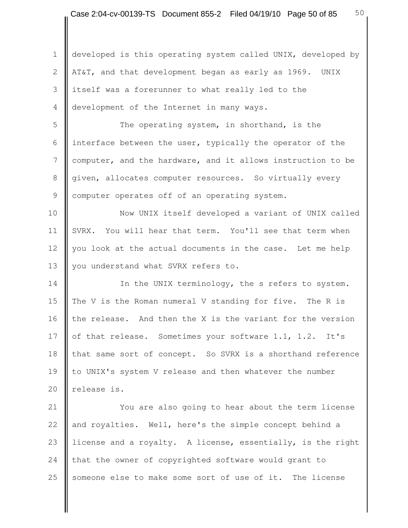1 developed is this operating system called UNIX, developed by 2 | AT&T, and that development began as early as 1969. UNIX 3 itself was a forerunner to what really led to the 4 development of the Internet in many ways.

5 | The operating system, in shorthand, is the 6 | interface between the user, typically the operator of the 7 computer, and the hardware, and it allows instruction to be 8 given, allocates computer resources. So virtually every 9 | computer operates off of an operating system.

10 || Now UNIX itself developed a variant of UNIX called 11 SVRX. You will hear that term. You'll see that term when 12 you look at the actual documents in the case. Let me help 13 | you understand what SVRX refers to.

14 In the UNIX terminology, the s refers to system. 15 The V is the Roman numeral V standing for five. The R is 16  $\parallel$  the release. And then the X is the variant for the version 17 of that release. Sometimes your software 1.1, 1.2. It's 18 that same sort of concept. So SVRX is a shorthand reference 19 to UNIX's system V release and then whatever the number 20 | release is.

21 | You are also going to hear about the term license 22 and royalties. Well, here's the simple concept behind a 23 license and a royalty. A license, essentially, is the right 24 that the owner of copyrighted software would grant to 25 Someone else to make some sort of use of it. The license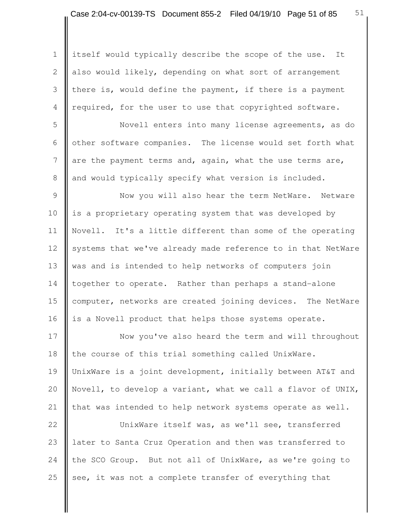1 itself would typically describe the scope of the use. It 2 also would likely, depending on what sort of arrangement 3 there is, would define the payment, if there is a payment 4 required, for the user to use that copyrighted software.

 5 Novell enters into many license agreements, as do 6  $\parallel$  other software companies. The license would set forth what 7 are the payment terms and, again, what the use terms are, 8 and would typically specify what version is included.

9 Now you will also hear the term NetWare. Netware 10 is a proprietary operating system that was developed by 11 Novell. It's a little different than some of the operating 12 systems that we've already made reference to in that NetWare 13 was and is intended to help networks of computers join 14 together to operate. Rather than perhaps a stand-alone 15 computer, networks are created joining devices. The NetWare 16 is a Novell product that helps those systems operate.

17 Now you've also heard the term and will throughout 18 the course of this trial something called UnixWare. 19 UnixWare is a joint development, initially between AT&T and 20 Novell, to develop a variant, what we call a flavor of UNIX, 21  $\parallel$  that was intended to help network systems operate as well.

22 | UnixWare itself was, as we'll see, transferred 23 later to Santa Cruz Operation and then was transferred to 24 the SCO Group. But not all of UnixWare, as we're going to 25 see, it was not a complete transfer of everything that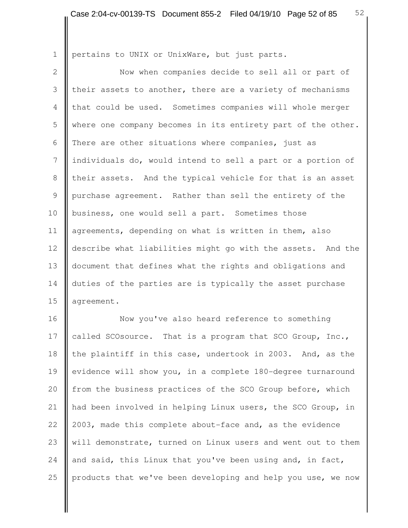1 **p**ertains to UNIX or UnixWare, but just parts.

2 | Now when companies decide to sell all or part of 3 their assets to another, there are a variety of mechanisms 4 that could be used. Sometimes companies will whole merger 5 where one company becomes in its entirety part of the other. 6 There are other situations where companies, just as 7 | individuals do, would intend to sell a part or a portion of 8 their assets. And the typical vehicle for that is an asset 9 purchase agreement. Rather than sell the entirety of the 10 business, one would sell a part. Sometimes those 11 agreements, depending on what is written in them, also 12 describe what liabilities might go with the assets. And the 13 document that defines what the rights and obligations and 14 duties of the parties are is typically the asset purchase 15 | agreement.

16 **Now** you've also heard reference to something 17 called SCOsource. That is a program that SCO Group, Inc., 18 the plaintiff in this case, undertook in 2003. And, as the 19 evidence will show you, in a complete 180-degree turnaround 20 from the business practices of the SCO Group before, which 21 || had been involved in helping Linux users, the SCO Group, in 22 | 2003, made this complete about-face and, as the evidence 23 will demonstrate, turned on Linux users and went out to them 24 and said, this Linux that you've been using and, in fact, 25 | products that we've been developing and help you use, we now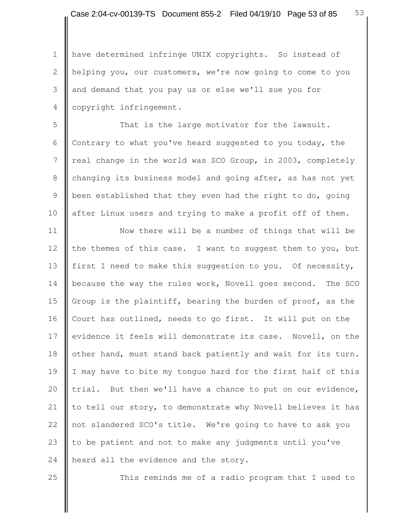1 | have determined infringe UNIX copyrights. So instead of 2 helping you, our customers, we're now going to come to you 3 and demand that you pay us or else we'll sue you for 4 | copyright infringement.

5 That is the large motivator for the lawsuit. 6 Contrary to what you've heard suggested to you today, the 7 | real change in the world was SCO Group, in 2003, completely 8 changing its business model and going after, as has not yet 9 | been established that they even had the right to do, going 10 after Linux users and trying to make a profit off of them.

11 | Now there will be a number of things that will be 12 the themes of this case. I want to suggest them to you, but 13 first I need to make this suggestion to you. Of necessity, 14 because the way the rules work, Novell goes second. The SCO 15 Group is the plaintiff, bearing the burden of proof, as the 16 Court has outlined, needs to go first. It will put on the 17 evidence it feels will demonstrate its case. Novell, on the 18 | other hand, must stand back patiently and wait for its turn. 19 I may have to bite my tongue hard for the first half of this 20 trial. But then we'll have a chance to put on our evidence, 21  $\parallel$  to tell our story, to demonstrate why Novell believes it has 22 not slandered SCO's title. We're going to have to ask you 23 to be patient and not to make any judgments until you've 24 | heard all the evidence and the story.

25 || This reminds me of a radio program that I used to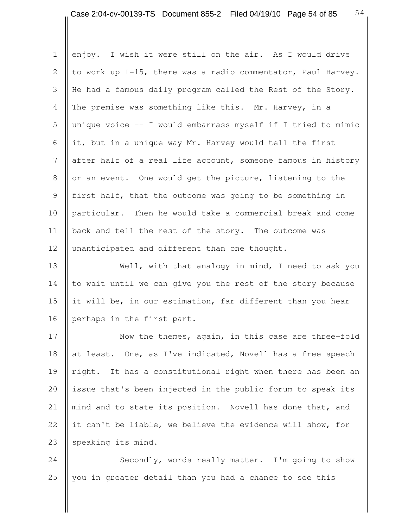1 enjoy. I wish it were still on the air. As I would drive 2  $\parallel$  to work up I-15, there was a radio commentator, Paul Harvey. 3 He had a famous daily program called the Rest of the Story. 4 The premise was something like this. Mr. Harvey, in a 5 unique voice -- I would embarrass myself if I tried to mimic 6 it, but in a unique way Mr. Harvey would tell the first 7 after half of a real life account, someone famous in history 8 || or an event. One would get the picture, listening to the 9 first half, that the outcome was going to be something in 10 particular. Then he would take a commercial break and come 11 | back and tell the rest of the story. The outcome was 12 | unanticipated and different than one thought.

13 Well, with that analogy in mind, I need to ask you  $14$  to wait until we can give you the rest of the story because 15 it will be, in our estimation, far different than you hear 16 perhaps in the first part.

17 Now the themes, again, in this case are three-fold 18 at least. One, as I've indicated, Novell has a free speech 19 || right. It has a constitutional right when there has been an 20  $\parallel$  issue that's been injected in the public forum to speak its 21 || mind and to state its position. Novell has done that, and 22 it can't be liable, we believe the evidence will show, for 23 speaking its mind.

24 Secondly, words really matter. I'm going to show 25 you in greater detail than you had a chance to see this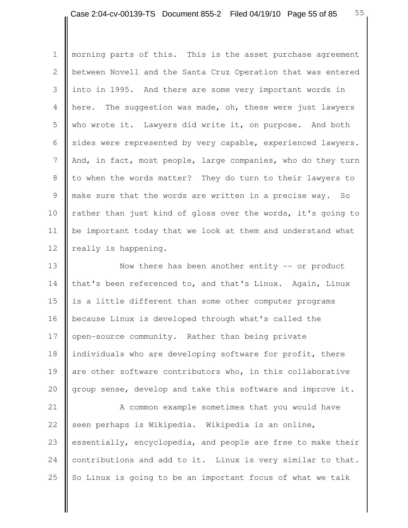1 | morning parts of this. This is the asset purchase agreement 2 **b**etween Novell and the Santa Cruz Operation that was entered 3 into in 1995. And there are some very important words in 4 **here.** The suggestion was made, oh, these were just lawyers 5 who wrote it. Lawyers did write it, on purpose. And both 6  $\parallel$  sides were represented by very capable, experienced lawyers. 7 And, in fact, most people, large companies, who do they turn 8 I to when the words matter? They do turn to their lawyers to 9 make sure that the words are written in a precise way. So 10 rather than just kind of gloss over the words, it's going to 11 be important today that we look at them and understand what 12 | really is happening.

13 **Now there has been another entity -- or product** 14 that's been referenced to, and that's Linux. Again, Linux 15  $\parallel$  is a little different than some other computer programs 16 because Linux is developed through what's called the 17 | open-source community. Rather than being private 18 individuals who are developing software for profit, there 19 are other software contributors who, in this collaborative 20 group sense, develop and take this software and improve it.

21 | A common example sometimes that you would have 22 seen perhaps is Wikipedia. Wikipedia is an online, 23 essentially, encyclopedia, and people are free to make their 24 contributions and add to it. Linux is very similar to that. 25  $\parallel$  So Linux is going to be an important focus of what we talk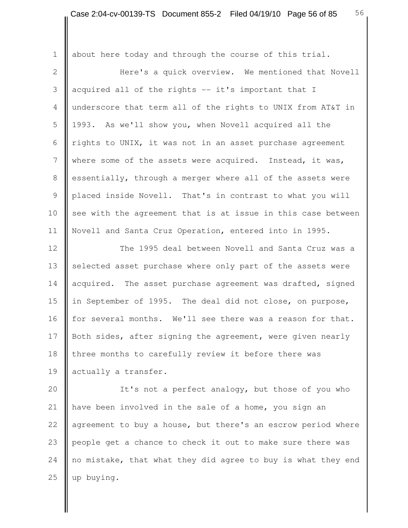1 | about here today and through the course of this trial. 2 | Mere's a quick overview. We mentioned that Novell 3 || acquired all of the rights  $-$  it's important that I 4 underscore that term all of the rights to UNIX from AT&T in 5 1993. As we'll show you, when Novell acquired all the 6  $\parallel$  rights to UNIX, it was not in an asset purchase agreement 7 where some of the assets were acquired. Instead, it was, 8 essentially, through a merger where all of the assets were 9 | placed inside Novell. That's in contrast to what you will 10  $\parallel$  see with the agreement that is at issue in this case between 11 | Novell and Santa Cruz Operation, entered into in 1995. 12 | The 1995 deal between Novell and Santa Cruz was a 13 selected asset purchase where only part of the assets were 14 acquired. The asset purchase agreement was drafted, signed 15 in September of 1995. The deal did not close, on purpose, 16 | for several months. We'll see there was a reason for that. 17 Both sides, after signing the agreement, were given nearly 18 three months to carefully review it before there was 19 actually a transfer. 20 | It's not a perfect analogy, but those of you who 21 | have been involved in the sale of a home, you sign an 22 agreement to buy a house, but there's an escrow period where

24  $\parallel$  no mistake, that what they did agree to buy is what they end 25  $\parallel$  up buying.

23 people get a chance to check it out to make sure there was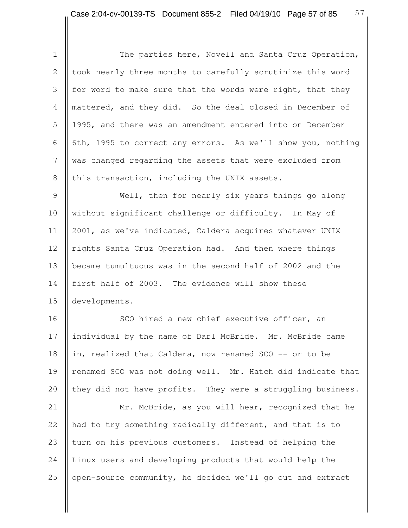Ш

| $\mathbf 1$    | The parties here, Novell and Santa Cruz Operation,          |
|----------------|-------------------------------------------------------------|
| 2              | took nearly three months to carefully scrutinize this word  |
| 3              | for word to make sure that the words were right, that they  |
| $\overline{4}$ | mattered, and they did. So the deal closed in December of   |
| 5              | 1995, and there was an amendment entered into on December   |
| 6              | 6th, 1995 to correct any errors. As we'll show you, nothing |
| 7              | was changed regarding the assets that were excluded from    |
| 8              | this transaction, including the UNIX assets.                |
| $\mathsf 9$    | Well, then for nearly six years things go along             |
| 10             | without significant challenge or difficulty. In May of      |
| 11             | 2001, as we've indicated, Caldera acquires whatever UNIX    |
| 12             | rights Santa Cruz Operation had. And then where things      |
| 13             | became tumultuous was in the second half of 2002 and the    |
| 14             | first half of 2003. The evidence will show these            |
| 15             | developments.                                               |
| 16             | SCO hired a new chief executive officer, an                 |
| 17             | individual by the name of Darl McBride. Mr. McBride came    |
| 18             | in, realized that Caldera, now renamed SCO -- or to be      |
| 19             | renamed SCO was not doing well. Mr. Hatch did indicate that |
| 20             | they did not have profits. They were a struggling business. |
| 21             | Mr. McBride, as you will hear, recognized that he           |
| 22             | had to try something radically different, and that is to    |
| 23             | turn on his previous customers. Instead of helping the      |
| 24             | Linux users and developing products that would help the     |
| 25             | open-source community, he decided we'll go out and extract  |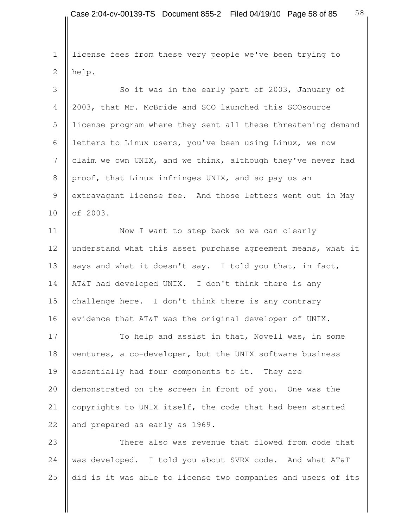1 license fees from these very people we've been trying to 2 help.

3 So it was in the early part of 2003, January of 4 2003, that Mr. McBride and SCO launched this SCOsource 5 license program where they sent all these threatening demand 6 letters to Linux users, you've been using Linux, we now 7 claim we own UNIX, and we think, although they've never had 8 proof, that Linux infringes UNIX, and so pay us an 9 | extravagant license fee. And those letters went out in May 10 **o**f 2003.

11 | Now I want to step back so we can clearly 12 understand what this asset purchase agreement means, what it 13 says and what it doesn't say. I told you that, in fact, 14 | AT&T had developed UNIX. I don't think there is any 15 challenge here. I don't think there is any contrary 16 evidence that AT&T was the original developer of UNIX.

17 To help and assist in that, Novell was, in some 18 ventures, a co-developer, but the UNIX software business 19 essentially had four components to it. They are 20 demonstrated on the screen in front of you. One was the 21 | copyrights to UNIX itself, the code that had been started 22 and prepared as early as 1969.

23 **There also was revenue that flowed from code that** 24 was developed. I told you about SVRX code. And what AT&T 25  $\parallel$  did is it was able to license two companies and users of its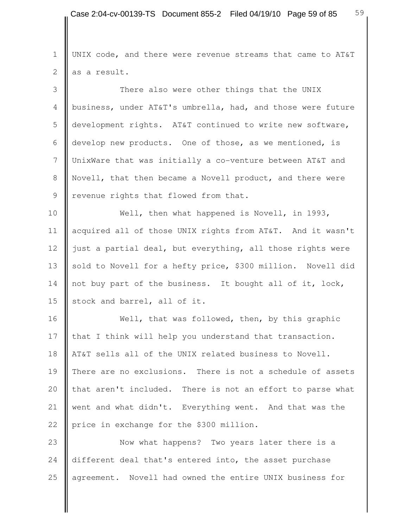1 UNIX code, and there were revenue streams that came to AT&T  $2 \parallel$  as a result.

3 There also were other things that the UNIX 4 business, under AT&T's umbrella, had, and those were future 5 development rights. AT&T continued to write new software, 6 develop new products. One of those, as we mentioned, is 7 UnixWare that was initially a co-venture between AT&T and 8 Novell, that then became a Novell product, and there were 9 | revenue rights that flowed from that.

10 Well, then what happened is Novell, in 1993, 11 acquired all of those UNIX rights from AT&T. And it wasn't 12 just a partial deal, but everything, all those rights were 13 sold to Novell for a hefty price, \$300 million. Novell did 14 not buy part of the business. It bought all of it, lock, 15  $\parallel$  stock and barrel, all of it.

16 Well, that was followed, then, by this graphic 17 that I think will help you understand that transaction. 18 || AT&T sells all of the UNIX related business to Novell. 19 There are no exclusions. There is not a schedule of assets 20 that aren't included. There is not an effort to parse what 21 went and what didn't. Everything went. And that was the 22 price in exchange for the \$300 million.

23 Now what happens? Two years later there is a 24 different deal that's entered into, the asset purchase 25 agreement. Novell had owned the entire UNIX business for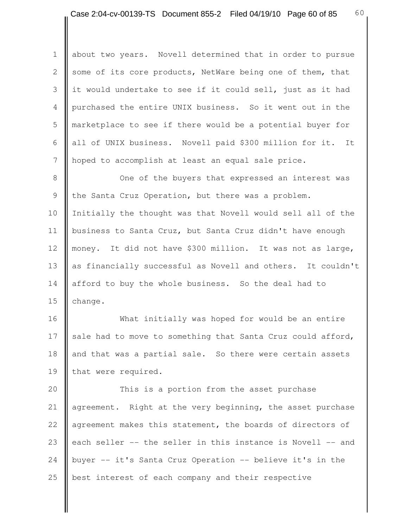1 about two years. Novell determined that in order to pursue 2 Some of its core products, NetWare being one of them, that 3 | it would undertake to see if it could sell, just as it had 4 purchased the entire UNIX business. So it went out in the 5 marketplace to see if there would be a potential buyer for 6 | all of UNIX business. Novell paid \$300 million for it. It 7 hoped to accomplish at least an equal sale price.

8 || One of the buyers that expressed an interest was 9 the Santa Cruz Operation, but there was a problem. 10 Initially the thought was that Novell would sell all of the 11 | business to Santa Cruz, but Santa Cruz didn't have enough 12 money. It did not have \$300 million. It was not as large, 13 as financially successful as Novell and others. It couldn't 14 afford to buy the whole business. So the deal had to 15  $\parallel$  change.

16 What initially was hoped for would be an entire 17 sale had to move to something that Santa Cruz could afford, 18 and that was a partial sale. So there were certain assets 19 that were required.

20 | This is a portion from the asset purchase 21 **| agreement.** Right at the very beginning, the asset purchase 22 agreement makes this statement, the boards of directors of 23 each seller  $-$ - the seller in this instance is Novell  $-$ - and 24 | buyer  $-$  it's Santa Cruz Operation  $-$  believe it's in the 25 **b**est interest of each company and their respective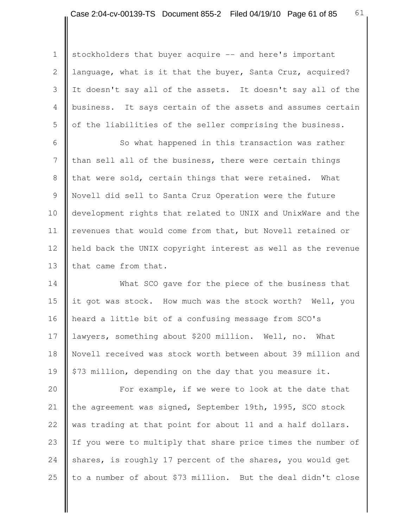1 | stockholders that buyer acquire -- and here's important 2 language, what is it that the buyer, Santa Cruz, acquired? 3 It doesn't say all of the assets. It doesn't say all of the 4 business. It says certain of the assets and assumes certain 5 | of the liabilities of the seller comprising the business.

6 | So what happened in this transaction was rather 7 I than sell all of the business, there were certain things 8 that were sold, certain things that were retained. What 9 Novell did sell to Santa Cruz Operation were the future 10 | development rights that related to UNIX and UnixWare and the 11 | revenues that would come from that, but Novell retained or 12 held back the UNIX copyright interest as well as the revenue 13 that came from that.

14 What SCO gave for the piece of the business that 15 it got was stock. How much was the stock worth? Well, you 16 heard a little bit of a confusing message from SCO's 17 lawyers, something about \$200 million. Well, no. What 18 Novell received was stock worth between about 39 million and 19  $\parallel$  \$73 million, depending on the day that you measure it.

20 **For example, if we were to look at the date that** 21 the agreement was signed, September 19th, 1995, SCO stock 22 was trading at that point for about 11 and a half dollars. 23 If you were to multiply that share price times the number of 24 shares, is roughly 17 percent of the shares, you would get 25  $\parallel$  to a number of about \$73 million. But the deal didn't close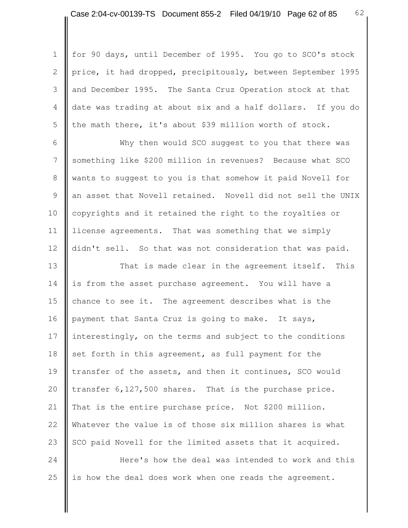1 | for 90 days, until December of 1995. You go to SCO's stock 2 price, it had dropped, precipitously, between September 1995 3 and December 1995. The Santa Cruz Operation stock at that 4 date was trading at about six and a half dollars. If you do 5 | the math there, it's about \$39 million worth of stock.

 6 Why then would SCO suggest to you that there was 7 Something like \$200 million in revenues? Because what SCO 8 wants to suggest to you is that somehow it paid Novell for 9 an asset that Novell retained. Novell did not sell the UNIX 10 copyrights and it retained the right to the royalties or 11 license agreements. That was something that we simply 12 didn't sell. So that was not consideration that was paid.

13 **That is made clear in the agreement itself.** This 14 is from the asset purchase agreement. You will have a 15 chance to see it. The agreement describes what is the 16 payment that Santa Cruz is going to make. It says, 17 interestingly, on the terms and subject to the conditions 18 set forth in this agreement, as full payment for the 19 transfer of the assets, and then it continues, SCO would 20 | transfer  $6,127,500$  shares. That is the purchase price. 21 That is the entire purchase price. Not \$200 million. 22 Whatever the value is of those six million shares is what 23  $\parallel$  SCO paid Novell for the limited assets that it acquired.

24 **Here's** how the deal was intended to work and this 25  $\parallel$  is how the deal does work when one reads the agreement.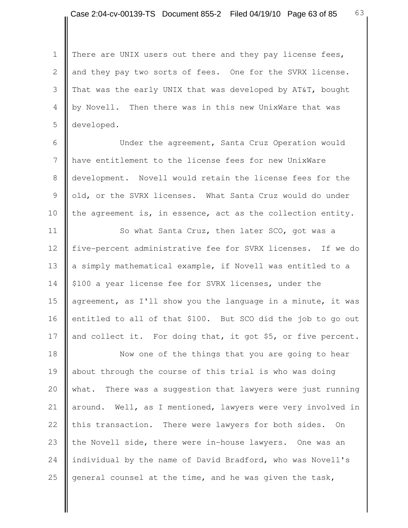1 | There are UNIX users out there and they pay license fees, 2 and they pay two sorts of fees. One for the SVRX license. 3 That was the early UNIX that was developed by AT&T, bought 4 | by Novell. Then there was in this new UnixWare that was 5 developed.

 6 Under the agreement, Santa Cruz Operation would 7 have entitlement to the license fees for new UnixWare 8 development. Novell would retain the license fees for the 9 | old, or the SVRX licenses. What Santa Cruz would do under 10 the agreement is, in essence, act as the collection entity.

11 | So what Santa Cruz, then later SCO, got was a 12 five-percent administrative fee for SVRX licenses. If we do 13 a simply mathematical example, if Novell was entitled to a 14 | \$100 a year license fee for SVRX licenses, under the 15  $\parallel$  agreement, as I'll show you the language in a minute, it was 16 entitled to all of that \$100. But SCO did the job to go out 17 and collect it. For doing that, it got \$5, or five percent.

18 || Now one of the things that you are going to hear 19 about through the course of this trial is who was doing 20 what. There was a suggestion that lawyers were just running 21 | around. Well, as I mentioned, lawyers were very involved in 22 this transaction. There were lawyers for both sides. On 23 the Novell side, there were in-house lawyers. One was an 24 individual by the name of David Bradford, who was Novell's 25 general counsel at the time, and he was given the task,

63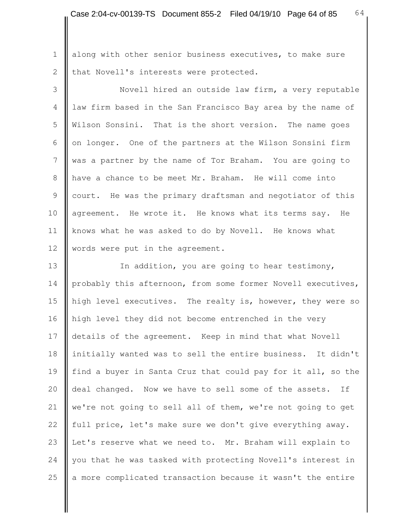1 | along with other senior business executives, to make sure 2 | that Novell's interests were protected.

 3 Novell hired an outside law firm, a very reputable 4 law firm based in the San Francisco Bay area by the name of 5 Wilson Sonsini. That is the short version. The name goes 6  $\parallel$  on longer. One of the partners at the Wilson Sonsini firm 7 was a partner by the name of Tor Braham. You are going to 8 have a chance to be meet Mr. Braham. He will come into 9 court. He was the primary draftsman and negotiator of this 10 agreement. He wrote it. He knows what its terms say. He 11 knows what he was asked to do by Novell. He knows what 12 | words were put in the agreement.

13 | In addition, you are going to hear testimony, 14 probably this afternoon, from some former Novell executives, 15 | high level executives. The realty is, however, they were so 16 | high level they did not become entrenched in the very 17 details of the agreement. Keep in mind that what Novell 18 | initially wanted was to sell the entire business. It didn't 19 find a buyer in Santa Cruz that could pay for it all, so the 20 deal changed. Now we have to sell some of the assets. If 21  $\parallel$  we're not going to sell all of them, we're not going to get 22 full price, let's make sure we don't give everything away. 23 Let's reserve what we need to. Mr. Braham will explain to 24 you that he was tasked with protecting Novell's interest in 25  $\parallel$  a more complicated transaction because it wasn't the entire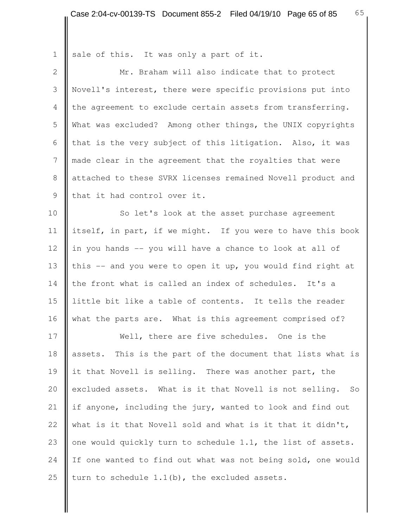1 sale of this. It was only a part of it. 2 || Mr. Braham will also indicate that to protect 3 Novell's interest, there were specific provisions put into 4 the agreement to exclude certain assets from transferring. 5 What was excluded? Among other things, the UNIX copyrights 6 | that is the very subject of this litigation. Also, it was 7 made clear in the agreement that the royalties that were 8 attached to these SVRX licenses remained Novell product and 9 || that it had control over it. 10 So let's look at the asset purchase agreement 11 itself, in part, if we might. If you were to have this book 12 in you hands  $-$  you will have a chance to look at all of 13 this  $-$  and you were to open it up, you would find right at 14 the front what is called an index of schedules. It's a 15 little bit like a table of contents. It tells the reader 16 what the parts are. What is this agreement comprised of? 17 Well, there are five schedules. One is the 18 assets. This is the part of the document that lists what is 19 it that Novell is selling. There was another part, the 20 excluded assets. What is it that Novell is not selling. So 21 if anyone, including the jury, wanted to look and find out 22 what is it that Novell sold and what is it that it didn't, 23  $\parallel$  one would quickly turn to schedule 1.1, the list of assets. 24 If one wanted to find out what was not being sold, one would 25 turn to schedule  $1.1(b)$ , the excluded assets.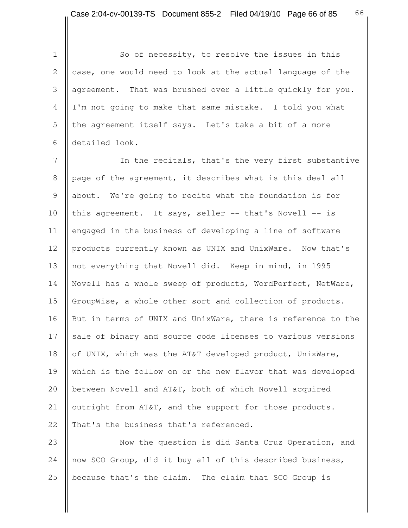1 So of necessity, to resolve the issues in this 2 case, one would need to look at the actual language of the 3 agreement. That was brushed over a little quickly for you. 4 | I'm not going to make that same mistake. I told you what 5 I the agreement itself says. Let's take a bit of a more 6 detailed look.

 7 In the recitals, that's the very first substantive 8 page of the agreement, it describes what is this deal all 9 about. We're going to recite what the foundation is for 10 this agreement. It says, seller -- that's Novell -- is 11 engaged in the business of developing a line of software 12 products currently known as UNIX and UnixWare. Now that's 13 not everything that Novell did. Keep in mind, in 1995 14 Novell has a whole sweep of products, WordPerfect, NetWare, 15 | GroupWise, a whole other sort and collection of products. 16 But in terms of UNIX and UnixWare, there is reference to the 17 sale of binary and source code licenses to various versions 18 | of UNIX, which was the AT&T developed product, UnixWare, 19 which is the follow on or the new flavor that was developed 20 **b**etween Novell and AT&T, both of which Novell acquired 21 | outright from AT&T, and the support for those products. 22  $\parallel$  That's the business that's referenced.

23 **Now the question is did Santa Cruz Operation, and** 24 now SCO Group, did it buy all of this described business, 25  $\parallel$  because that's the claim. The claim that SCO Group is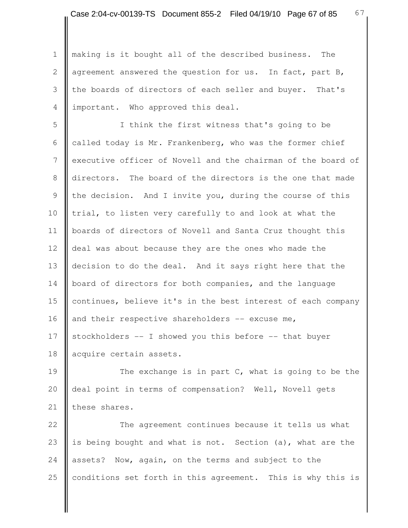1 || making is it bought all of the described business. The 2 agreement answered the question for us. In fact, part B, 3 I the boards of directors of each seller and buyer. That's 4 important. Who approved this deal.

 5 I think the first witness that's going to be 6 called today is Mr. Frankenberg, who was the former chief 7 executive officer of Novell and the chairman of the board of 8 directors. The board of the directors is the one that made 9 Ithe decision. And I invite you, during the course of this 10 trial, to listen very carefully to and look at what the 11 | boards of directors of Novell and Santa Cruz thought this 12 deal was about because they are the ones who made the 13 decision to do the deal. And it says right here that the 14 board of directors for both companies, and the language 15 continues, believe it's in the best interest of each company 16  $\parallel$  and their respective shareholders -- excuse me, 17 Stockholders  $-$  I showed you this before  $-$ - that buyer 18 acquire certain assets.

19 The exchange is in part C, what is going to be the 20 deal point in terms of compensation? Well, Novell gets 21 these shares.

22 **The agreement continues because it tells us what** 23 is being bought and what is not. Section (a), what are the 24 assets? Now, again, on the terms and subject to the 25 conditions set forth in this agreement. This is why this is

67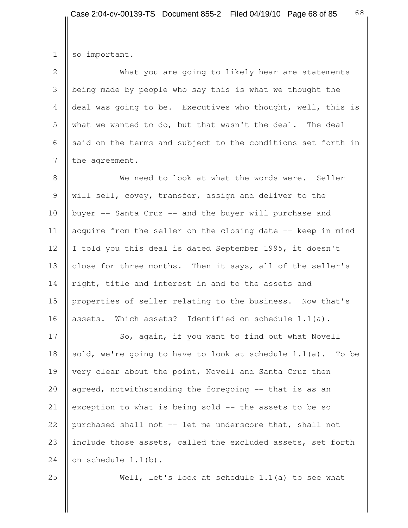1 so important.

2 What you are going to likely hear are statements 3 being made by people who say this is what we thought the 4 deal was going to be. Executives who thought, well, this is 5 what we wanted to do, but that wasn't the deal. The deal 6 said on the terms and subject to the conditions set forth in  $7$  the agreement.

8 **We need to look at what the words were.** Seller 9 will sell, covey, transfer, assign and deliver to the 10 buyer -- Santa Cruz -- and the buyer will purchase and 11 | acquire from the seller on the closing date -- keep in mind 12 I told you this deal is dated September 1995, it doesn't 13 close for three months. Then it says, all of the seller's 14 right, title and interest in and to the assets and 15 properties of seller relating to the business. Now that's 16 assets. Which assets? Identified on schedule 1.1(a).

17 So, again, if you want to find out what Novell 18 sold, we're going to have to look at schedule  $1.1(a)$ . To be 19 very clear about the point, Novell and Santa Cruz then 20  $\parallel$  agreed, notwithstanding the foregoing  $-$  that is as an 21 exception to what is being sold  $-$  the assets to be so 22 | purchased shall not  $-$  let me underscore that, shall not 23 include those assets, called the excluded assets, set forth 24  $\blacksquare$  on schedule 1.1(b).

25 Well, let's look at schedule 1.1(a) to see what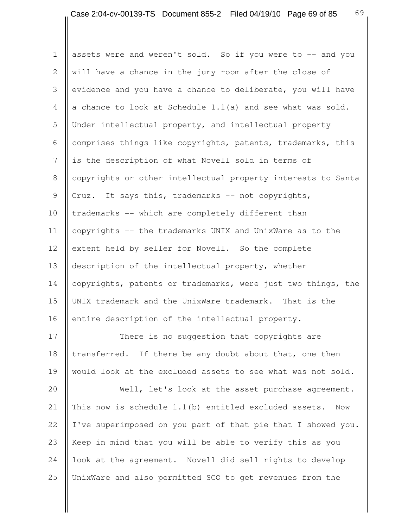1 assets were and weren't sold. So if you were to -- and you 2 will have a chance in the jury room after the close of 3 evidence and you have a chance to deliberate, you will have 4 a chance to look at Schedule 1.1(a) and see what was sold. 5 Under intellectual property, and intellectual property 6 comprises things like copyrights, patents, trademarks, this 7 is the description of what Novell sold in terms of 8 copyrights or other intellectual property interests to Santa 9  $\parallel$  Cruz. It says this, trademarks -- not copyrights, 10 trademarks -- which are completely different than 11 copyrights -- the trademarks UNIX and UnixWare as to the 12 extent held by seller for Novell. So the complete 13 description of the intellectual property, whether 14 copyrights, patents or trademarks, were just two things, the 15 UNIX trademark and the UnixWare trademark. That is the 16 entire description of the intellectual property.

17 There is no suggestion that copyrights are 18 transferred. If there be any doubt about that, one then 19 would look at the excluded assets to see what was not sold.

20 Well, let's look at the asset purchase agreement. 21 | This now is schedule 1.1(b) entitled excluded assets. Now 22 I I've superimposed on you part of that pie that I showed you. 23 Keep in mind that you will be able to verify this as you 24 | look at the agreement. Novell did sell rights to develop 25 UnixWare and also permitted SCO to get revenues from the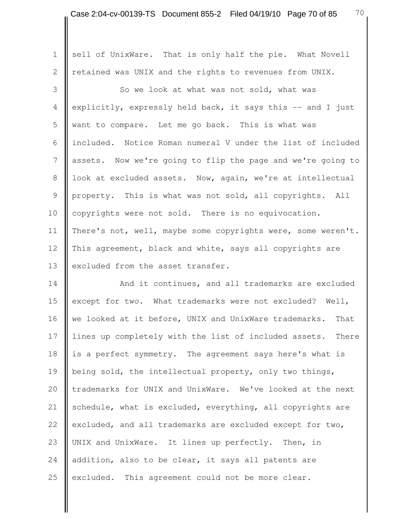1 sell of UnixWare. That is only half the pie. What Novell 2 | retained was UNIX and the rights to revenues from UNIX.

3 So we look at what was not sold, what was 4 explicitly, expressly held back, it says this -- and I just 5 want to compare. Let me go back. This is what was 6 included. Notice Roman numeral V under the list of included 7 assets. Now we're going to flip the page and we're going to 8 | look at excluded assets. Now, again, we're at intellectual 9 property. This is what was not sold, all copyrights. All 10 copyrights were not sold. There is no equivocation. 11 | There's not, well, maybe some copyrights were, some weren't. 12 This agreement, black and white, says all copyrights are 13 excluded from the asset transfer.

14 **And it continues, and all trademarks are excluded** 15 except for two. What trademarks were not excluded? Well, 16 we looked at it before, UNIX and UnixWare trademarks. That 17 lines up completely with the list of included assets. There 18 is a perfect symmetry. The agreement says here's what is 19 being sold, the intellectual property, only two things, 20 trademarks for UNIX and UnixWare. We've looked at the next 21 Schedule, what is excluded, everything, all copyrights are 22 excluded, and all trademarks are excluded except for two, 23 UNIX and UnixWare. It lines up perfectly. Then, in 24  $\parallel$  addition, also to be clear, it says all patents are  $25$  excluded. This agreement could not be more clear.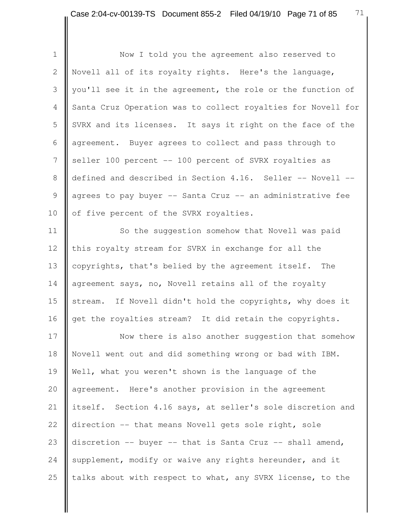| $\mathbf 1$    | Now I told you the agreement also reserved to                |
|----------------|--------------------------------------------------------------|
| $\mathbf{2}$   | Novell all of its royalty rights. Here's the language,       |
| 3              | you'll see it in the agreement, the role or the function of  |
| 4              | Santa Cruz Operation was to collect royalties for Novell for |
| 5              | SVRX and its licenses. It says it right on the face of the   |
| 6              | agreement. Buyer agrees to collect and pass through to       |
| $7\phantom{.}$ | seller 100 percent -- 100 percent of SVRX royalties as       |
| $8\,$          | defined and described in Section 4.16. Seller -- Novell --   |
| $\overline{9}$ | agrees to pay buyer -- Santa Cruz -- an administrative fee   |
| 10             | of five percent of the SVRX royalties.                       |
| 11             | So the suggestion somehow that Novell was paid               |
| 12             | this royalty stream for SVRX in exchange for all the         |
| 13             | copyrights, that's belied by the agreement itself. The       |
| 14             | agreement says, no, Novell retains all of the royalty        |
| 15             | stream. If Novell didn't hold the copyrights, why does it    |
| 16             | get the royalties stream? It did retain the copyrights.      |
| 17             | Now there is also another suggestion that somehow            |
| 18             | Novell went out and did something wrong or bad with IBM.     |
| 19             | Well, what you weren't shown is the language of the          |
| 20             | agreement. Here's another provision in the agreement         |
| 21             | itself. Section 4.16 says, at seller's sole discretion and   |
| 22             | direction -- that means Novell gets sole right, sole         |
| 23             | discretion -- buyer -- that is Santa Cruz -- shall amend,    |
| 24             | supplement, modify or waive any rights hereunder, and it     |
| 25             | talks about with respect to what, any SVRX license, to the   |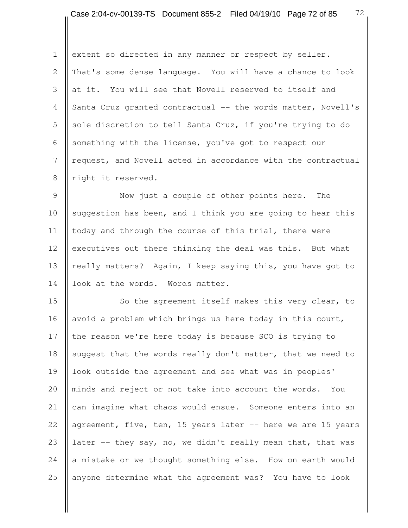72

1 extent so directed in any manner or respect by seller. 2 That's some dense language. You will have a chance to look 3 at it. You will see that Novell reserved to itself and 4 Santa Cruz granted contractual -- the words matter, Novell's 5 || sole discretion to tell Santa Cruz, if you're trying to do 6 Something with the license, you've got to respect our 7 **request, and Novell acted in accordance with the contractual** 8 | right it reserved.

9 **Now** just a couple of other points here. The 10 suggestion has been, and I think you are going to hear this 11  $\parallel$  today and through the course of this trial, there were 12 executives out there thinking the deal was this. But what 13 really matters? Again, I keep saying this, you have got to 14 look at the words. Words matter.

15 | So the agreement itself makes this very clear, to 16 avoid a problem which brings us here today in this court, 17 the reason we're here today is because SCO is trying to 18 suggest that the words really don't matter, that we need to 19 | look outside the agreement and see what was in peoples' 20 minds and reject or not take into account the words. You 21 can imagine what chaos would ensue. Someone enters into an 22  $\parallel$  agreement, five, ten, 15 years later  $\sim$  here we are 15 years 23 later  $-$  they say, no, we didn't really mean that, that was 24 a mistake or we thought something else. How on earth would 25 anyone determine what the agreement was? You have to look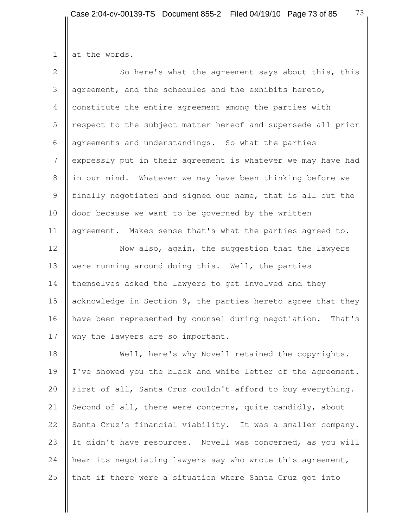| $\overline{2}$ | So here's what the agreement says about this, this           |
|----------------|--------------------------------------------------------------|
| 3              | agreement, and the schedules and the exhibits hereto,        |
| 4              | constitute the entire agreement among the parties with       |
| 5              | respect to the subject matter hereof and supersede all prior |
| 6              | agreements and understandings. So what the parties           |
| 7              | expressly put in their agreement is whatever we may have had |
| 8              | in our mind. Whatever we may have been thinking before we    |
| 9              | finally negotiated and signed our name, that is all out the  |
| 10             | door because we want to be governed by the written           |
| 11             | agreement. Makes sense that's what the parties agreed to.    |
| 12             | Now also, again, the suggestion that the lawyers             |
| 13             | were running around doing this. Well, the parties            |
| 14             | themselves asked the lawyers to get involved and they        |
| 15             | acknowledge in Section 9, the parties hereto agree that they |
| 16             | have been represented by counsel during negotiation. That's  |
| 17             | why the lawyers are so important.                            |
| 18             | Well, here's why Novell retained the copyrights.             |
| $\sim$ $\sim$  |                                                              |

19 | I've showed you the black and white letter of the agreement. 20 First of all, Santa Cruz couldn't afford to buy everything. 21 Second of all, there were concerns, quite candidly, about 22 Santa Cruz's financial viability. It was a smaller company. 23 If didn't have resources. Novell was concerned, as you will 24  $\parallel$  hear its negotiating lawyers say who wrote this agreement, 25  $\parallel$  that if there were a situation where Santa Cruz got into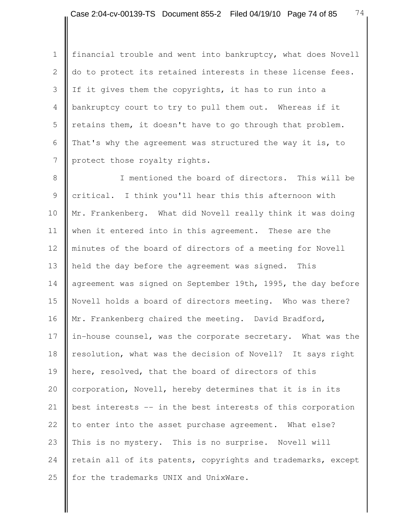1 | financial trouble and went into bankruptcy, what does Novell 2 | do to protect its retained interests in these license fees. 3 If it gives them the copyrights, it has to run into a 4 bankruptcy court to try to pull them out. Whereas if it  $5 \parallel$  retains them, it doesn't have to go through that problem. 6 That's why the agreement was structured the way it is, to 7 | protect those royalty rights.

8 || T mentioned the board of directors. This will be 9 || critical. I think you'll hear this this afternoon with 10 Mr. Frankenberg. What did Novell really think it was doing 11 when it entered into in this agreement. These are the 12 minutes of the board of directors of a meeting for Novell 13 held the day before the agreement was signed. This 14 agreement was signed on September 19th, 1995, the day before 15 Novell holds a board of directors meeting. Who was there? 16 | Mr. Frankenberg chaired the meeting. David Bradford, 17 in-house counsel, was the corporate secretary. What was the 18 resolution, what was the decision of Novell? It says right 19 here, resolved, that the board of directors of this 20 | corporation, Novell, hereby determines that it is in its 21  $\parallel$  best interests -- in the best interests of this corporation 22  $\parallel$  to enter into the asset purchase agreement. What else? 23 This is no mystery. This is no surprise. Novell will 24 retain all of its patents, copyrights and trademarks, except 25  $\parallel$  for the trademarks UNIX and UnixWare.

74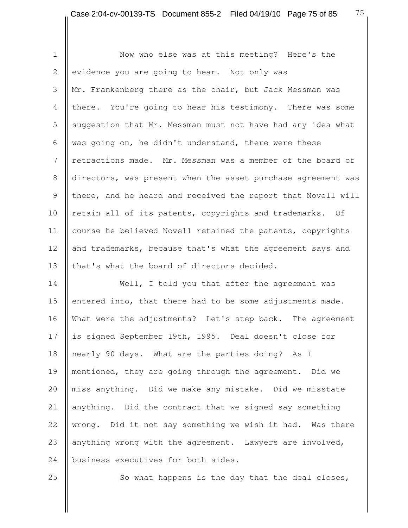1 | Now who else was at this meeting? Here's the 2 evidence you are going to hear. Not only was 3 Mr. Frankenberg there as the chair, but Jack Messman was 4 there. You're going to hear his testimony. There was some 5 Suggestion that Mr. Messman must not have had any idea what 6  $\parallel$  was going on, he didn't understand, there were these 7 **I** retractions made. Mr. Messman was a member of the board of 8 directors, was present when the asset purchase agreement was 9 there, and he heard and received the report that Novell will 10 | retain all of its patents, copyrights and trademarks. Of 11 | course he believed Novell retained the patents, copyrights 12 and trademarks, because that's what the agreement says and 13 I that's what the board of directors decided.

14 **Well, I** told you that after the agreement was 15 entered into, that there had to be some adjustments made. 16 What were the adjustments? Let's step back. The agreement 17 is signed September 19th, 1995. Deal doesn't close for 18 || nearly 90 days. What are the parties doing? As I 19 mentioned, they are going through the agreement. Did we 20 miss anything. Did we make any mistake. Did we misstate 21  $\parallel$  anything. Did the contract that we signed say something 22 wrong. Did it not say something we wish it had. Was there 23 anything wrong with the agreement. Lawyers are involved, 24 **business executives for both sides.** 

 $25$   $\parallel$  So what happens is the day that the deal closes,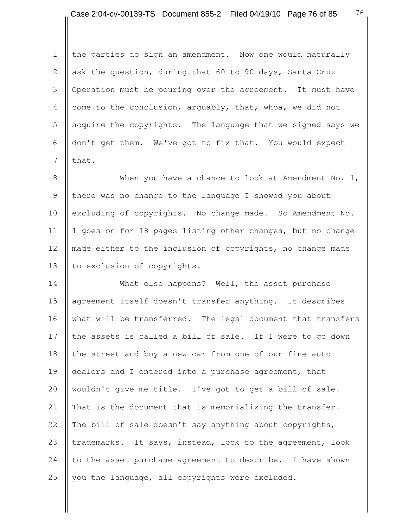1 the parties do sign an amendment. Now one would naturally 2 ask the question, during that 60 to 90 days, Santa Cruz 3 | Operation must be pouring over the agreement. It must have 4 come to the conclusion, arguably, that, whoa, we did not 5 acquire the copyrights. The language that we signed says we 6 don't get them. We've got to fix that. You would expect  $7 \text{ I}$  that.

8 When you have a chance to look at Amendment No. 1, 9 I there was no change to the language I showed you about 10 excluding of copyrights. No change made. So Amendment No. 11 | 1 goes on for 18 pages listing other changes, but no change 12 made either to the inclusion of copyrights, no change made 13 to exclusion of copyrights.

14 What else happens? Well, the asset purchase 15 agreement itself doesn't transfer anything. It describes 16 what will be transferred. The legal document that transfers 17 the assets is called a bill of sale. If I were to go down 18 the street and buy a new car from one of our fine auto 19 dealers and I entered into a purchase agreement, that 20 wouldn't give me title. I've got to get a bill of sale. 21  $\parallel$  That is the document that is memorializing the transfer. 22 The bill of sale doesn't say anything about copyrights, 23 trademarks. It says, instead, look to the agreement, look 24  $\parallel$  to the asset purchase agreement to describe. I have shown 25  $\parallel$  you the language, all copyrights were excluded.

76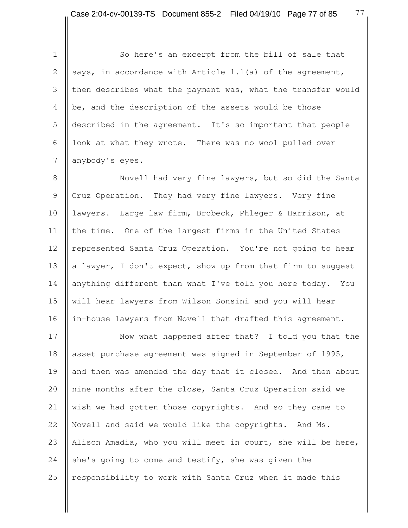1 | So here's an excerpt from the bill of sale that 2 says, in accordance with Article 1.1(a) of the agreement, 3 then describes what the payment was, what the transfer would 4 be, and the description of the assets would be those 5 described in the agreement. It's so important that people 6  $\parallel$  look at what they wrote. There was no wool pulled over 7 | anybody's eyes.

8 Novell had very fine lawyers, but so did the Santa 9 Cruz Operation. They had very fine lawyers. Very fine 10 | lawyers. Large law firm, Brobeck, Phleger & Harrison, at 11  $\parallel$  the time. One of the largest firms in the United States 12 | represented Santa Cruz Operation. You're not going to hear 13  $\parallel$  a lawyer, I don't expect, show up from that firm to suggest 14 anything different than what I've told you here today. You 15 will hear lawyers from Wilson Sonsini and you will hear 16 | in-house lawyers from Novell that drafted this agreement.

17 Now what happened after that? I told you that the 18 asset purchase agreement was signed in September of 1995, 19 and then was amended the day that it closed. And then about 20 || nine months after the close, Santa Cruz Operation said we 21 wish we had gotten those copyrights. And so they came to 22 Novell and said we would like the copyrights. And Ms. 23 Alison Amadia, who you will meet in court, she will be here, 24 she's going to come and testify, she was given the 25  $\parallel$  responsibility to work with Santa Cruz when it made this

77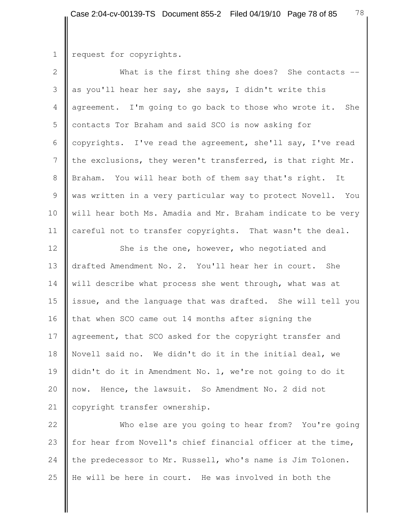## 1 | request for copyrights.

| $\overline{2}$ | What is the first thing she does? She contacts $--$          |
|----------------|--------------------------------------------------------------|
| 3              | as you'll hear her say, she says, I didn't write this        |
| 4              | agreement. I'm going to go back to those who wrote it. She   |
| $\mathsf S$    | contacts Tor Braham and said SCO is now asking for           |
| 6              | copyrights. I've read the agreement, she'll say, I've read   |
| 7              | the exclusions, they weren't transferred, is that right Mr.  |
| 8              | Braham. You will hear both of them say that's right.<br>It   |
| 9              | was written in a very particular way to protect Novell. You  |
| 10             | will hear both Ms. Amadia and Mr. Braham indicate to be very |
| 11             | careful not to transfer copyrights. That wasn't the deal.    |
| 12             | She is the one, however, who negotiated and                  |
| 13             | drafted Amendment No. 2. You'll hear her in court. She       |
| 14             | will describe what process she went through, what was at     |
| 15             | issue, and the language that was drafted. She will tell you  |
| 16             | that when SCO came out 14 months after signing the           |
| 17             | agreement, that SCO asked for the copyright transfer and     |
| 18             | Novell said no. We didn't do it in the initial deal, we      |
| 19             | didn't do it in Amendment No. 1, we're not going to do it    |
|                | now. Hence, the lawsuit. So Amendment No. 2 did not          |
| 20<br>21       | copyright transfer ownership.                                |
|                | Who else are you going to hear from? You're going            |

else are you going to hear from? 23  $\parallel$  for hear from Novell's chief financial officer at the time, 24 the predecessor to Mr. Russell, who's name is Jim Tolonen. 25  $\parallel$  He will be here in court. He was involved in both the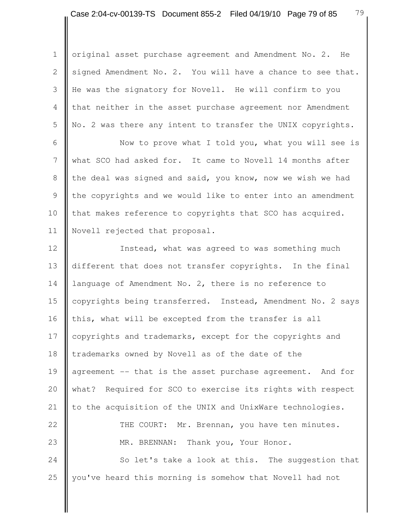1 | original asset purchase agreement and Amendment No. 2. He 2 signed Amendment No. 2. You will have a chance to see that. 3 He was the signatory for Novell. He will confirm to you 4 that neither in the asset purchase agreement nor Amendment 5 No. 2 was there any intent to transfer the UNIX copyrights.

6 | Now to prove what I told you, what you will see is 7 what SCO had asked for. It came to Novell 14 months after 8 the deal was signed and said, you know, now we wish we had 9 Ithe copyrights and we would like to enter into an amendment 10 that makes reference to copyrights that SCO has acquired. 11 Novell rejected that proposal.

12 | Instead, what was agreed to was something much 13 different that does not transfer copyrights. In the final 14 language of Amendment No. 2, there is no reference to 15 copyrights being transferred. Instead, Amendment No. 2 says 16  $\parallel$  this, what will be excepted from the transfer is all 17 copyrights and trademarks, except for the copyrights and 18 trademarks owned by Novell as of the date of the 19 agreement -- that is the asset purchase agreement. And for 20 | what? Required for SCO to exercise its rights with respect 21  $\parallel$  to the acquisition of the UNIX and UnixWare technologies. 22 **THE COURT:** Mr. Brennan, you have ten minutes. 23 **MR. BRENNAN:** Thank you, Your Honor. 24 So let's take a look at this. The suggestion that

25 you've heard this morning is somehow that Novell had not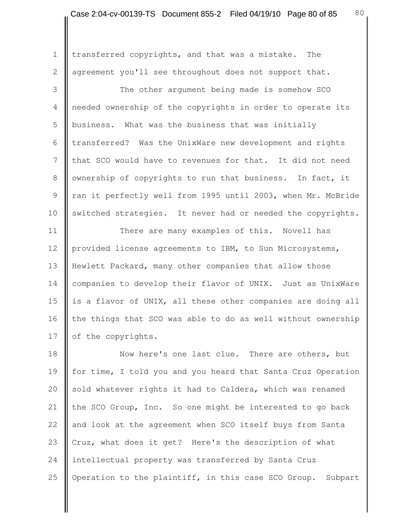1 | transferred copyrights, and that was a mistake. The 2 agreement you'll see throughout does not support that.

3 The other argument being made is somehow SCO 4 needed ownership of the copyrights in order to operate its 5 business. What was the business that was initially  $6$  | transferred? Was the UnixWare new development and rights 7 I that SCO would have to revenues for that. It did not need 8 | ownership of copyrights to run that business. In fact, it 9 Tran it perfectly well from 1995 until 2003, when Mr. McBride 10 switched strategies. It never had or needed the copyrights.

11 **There are many examples of this.** Novell has 12 provided license agreements to IBM, to Sun Microsystems, 13 Hewlett Packard, many other companies that allow those 14 | companies to develop their flavor of UNIX. Just as UnixWare 15  $\parallel$  is a flavor of UNIX, all these other companies are doing all 16  $\parallel$  the things that SCO was able to do as well without ownership 17 | of the copyrights.

18 Now here's one last clue. There are others, but 19 for time, I told you and you heard that Santa Cruz Operation 20  $\parallel$  sold whatever rights it had to Caldera, which was renamed 21 the SCO Group, Inc. So one might be interested to go back 22 and look at the agreement when SCO itself buys from Santa 23 Cruz, what does it get? Here's the description of what 24 intellectual property was transferred by Santa Cruz 25 | Operation to the plaintiff, in this case SCO Group. Subpart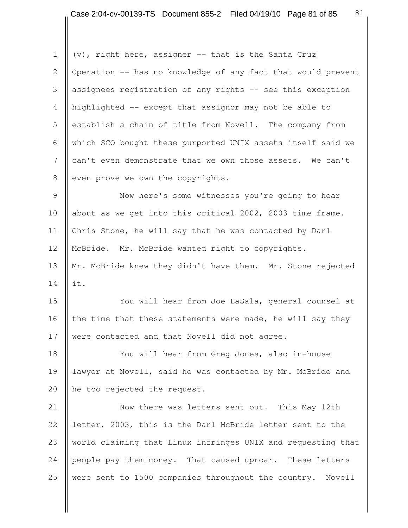1  $\parallel$  (v), right here, assigner -- that is the Santa Cruz 2  $\parallel$  Operation -- has no knowledge of any fact that would prevent 3 assignees registration of any rights -- see this exception 4 highlighted -- except that assignor may not be able to 5 establish a chain of title from Novell. The company from 6 which SCO bought these purported UNIX assets itself said we 7 can't even demonstrate that we own those assets. We can't  $8$  even prove we own the copyrights. 9 | Now here's some witnesses you're going to hear 10 about as we get into this critical 2002, 2003 time frame. 11 | Chris Stone, he will say that he was contacted by Darl 12 McBride. Mr. McBride wanted right to copyrights. 13 || Mr. McBride knew they didn't have them. Mr. Stone rejected  $14$  lit. 15 You will hear from Joe LaSala, general counsel at 16  $\parallel$  the time that these statements were made, he will say they 17 **were contacted and that Novell did not agree.** 18 **We are the Starbo Wear from Greg Jones, also in-house** 19 | lawyer at Novell, said he was contacted by Mr. McBride and 20 he too rejected the request. 21 | Now there was letters sent out. This May 12th 22 letter, 2003, this is the Darl McBride letter sent to the

23 world claiming that Linux infringes UNIX and requesting that 24 people pay them money. That caused uproar. These letters 25 were sent to 1500 companies throughout the country. Novell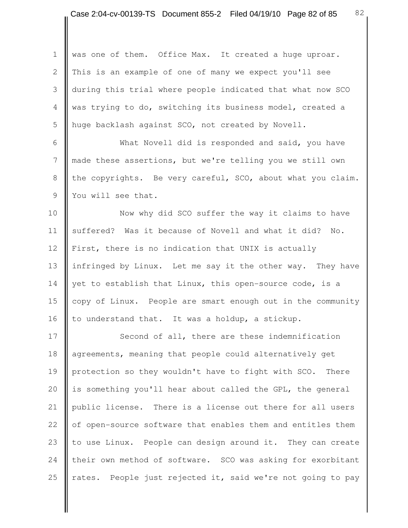1 was one of them. Office Max. It created a huge uproar. 2 This is an example of one of many we expect you'll see 3 during this trial where people indicated that what now SCO 4 was trying to do, switching its business model, created a 5 huge backlash against SCO, not created by Novell. 6 | What Novell did is responded and said, you have 7 made these assertions, but we're telling you we still own 8 the copyrights. Be very careful, SCO, about what you claim. 9 || You will see that. 10 Now why did SCO suffer the way it claims to have 11 suffered? Was it because of Novell and what it did? No. 12 First, there is no indication that UNIX is actually 13 infringed by Linux. Let me say it the other way. They have 14 yet to establish that Linux, this open-source code, is a 15 copy of Linux. People are smart enough out in the community 16  $\parallel$  to understand that. It was a holdup, a stickup. 17 Second of all, there are these indemnification 18 agreements, meaning that people could alternatively get

19 protection so they wouldn't have to fight with SCO. There 20 is something you'll hear about called the GPL, the general 21 | public license. There is a license out there for all users 22 | of open-source software that enables them and entitles them 23  $\parallel$  to use Linux. People can design around it. They can create 24 their own method of software. SCO was asking for exorbitant 25  $\parallel$  rates. People just rejected it, said we're not going to pay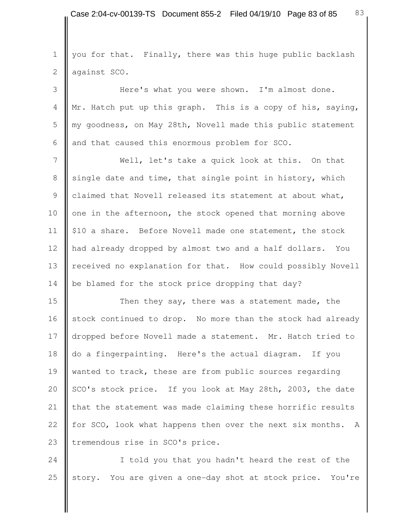1 | you for that. Finally, there was this huge public backlash 2 against SCO. 3 Here's what you were shown. I'm almost done.

4 | Mr. Hatch put up this graph. This is a copy of his, saying, 5 || my goodness, on May 28th, Novell made this public statement 6  $\parallel$  and that caused this enormous problem for SCO.

 7 Well, let's take a quick look at this. On that 8 single date and time, that single point in history, which 9 claimed that Novell released its statement at about what, 10 one in the afternoon, the stock opened that morning above 11 | \$10 a share. Before Novell made one statement, the stock 12 had already dropped by almost two and a half dollars. You 13 received no explanation for that. How could possibly Novell 14 be blamed for the stock price dropping that day?

15 **Then they say, there was a statement made, the** 16 stock continued to drop. No more than the stock had already 17 | dropped before Novell made a statement. Mr. Hatch tried to 18 do a fingerpainting. Here's the actual diagram. If you 19 wanted to track, these are from public sources regarding 20 | SCO's stock price. If you look at May 28th, 2003, the date 21  $\parallel$  that the statement was made claiming these horrific results 22 for SCO, look what happens then over the next six months. A 23 | tremendous rise in SCO's price.

24 I told you that you hadn't heard the rest of the 25 story. You are given a one-day shot at stock price. You're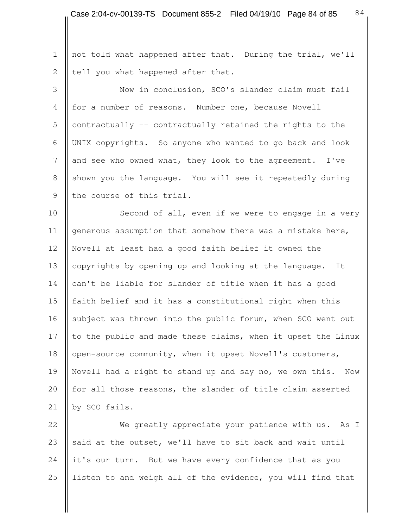1 || not told what happened after that. During the trial, we'll 2  $\parallel$  tell you what happened after that.

 3 Now in conclusion, SCO's slander claim must fail 4 for a number of reasons. Number one, because Novell 5 contractually  $-$  contractually retained the rights to the 6 UNIX copyrights. So anyone who wanted to go back and look 7 and see who owned what, they look to the agreement. I've 8 Shown you the language. You will see it repeatedly during 9 || the course of this trial.

10 **Second of all, even if we were to engage in a very** 11 generous assumption that somehow there was a mistake here, 12 Novell at least had a good faith belief it owned the 13 copyrights by opening up and looking at the language. It 14 can't be liable for slander of title when it has a good 15 faith belief and it has a constitutional right when this 16 subject was thrown into the public forum, when SCO went out 17  $\parallel$  to the public and made these claims, when it upset the Linux 18 | open-source community, when it upset Novell's customers, 19 Novell had a right to stand up and say no, we own this. Now 20 | for all those reasons, the slander of title claim asserted 21 | by SCO fails.

22 We greatly appreciate your patience with us. As I 23  $\parallel$  said at the outset, we'll have to sit back and wait until 24 it's our turn. But we have every confidence that as you 25  $\parallel$  listen to and weigh all of the evidence, you will find that